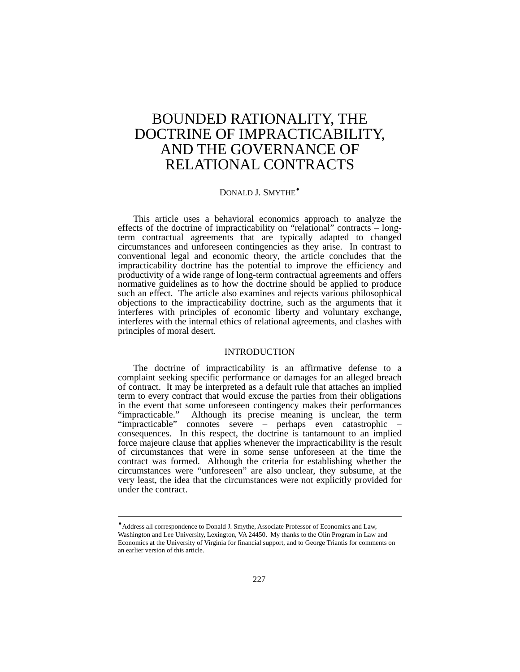# BOUNDED RATIONALITY, THE DOCTRINE OF IMPRACTICABILITY, AND THE GOVERNANCE OF RELATIONAL CONTRACTS

# DONALD J. SMYTHE[♦](#page-0-0)

This article uses a behavioral economics approach to analyze the effects of the doctrine of impracticability on "relational" contracts – longterm contractual agreements that are typically adapted to changed circumstances and unforeseen contingencies as they arise. In contrast to conventional legal and economic theory, the article concludes that the impracticability doctrine has the potential to improve the efficiency and productivity of a wide range of long-term contractual agreements and offers normative guidelines as to how the doctrine should be applied to produce such an effect. The article also examines and rejects various philosophical objections to the impracticability doctrine, such as the arguments that it interferes with principles of economic liberty and voluntary exchange, interferes with the internal ethics of relational agreements, and clashes with principles of moral desert.

## **INTRODUCTION**

The doctrine of impracticability is an affirmative defense to a complaint seeking specific performance or damages for an alleged breach of contract. It may be interpreted as a default rule that attaches an implied term to every contract that would excuse the parties from their obligations in the event that some unforeseen contingency makes their performances "impracticable." Although its precise meaning is unclear, the term "impracticable" connotes severe – perhaps even catastrophic consequences. In this respect, the doctrine is tantamount to an implied force majeure clause that applies whenever the impracticability is the result of circumstances that were in some sense unforeseen at the time the contract was formed. Although the criteria for establishing whether the circumstances were "unforeseen" are also unclear, they subsume, at the very least, the idea that the circumstances were not explicitly provided for under the contract.

l

<span id="page-0-0"></span><sup>♦</sup>Address all correspondence to Donald J. Smythe, Associate Professor of Economics and Law, Washington and Lee University, Lexington, VA 24450. My thanks to the Olin Program in Law and Economics at the University of Virginia for financial support, and to George Triantis for comments on an earlier version of this article.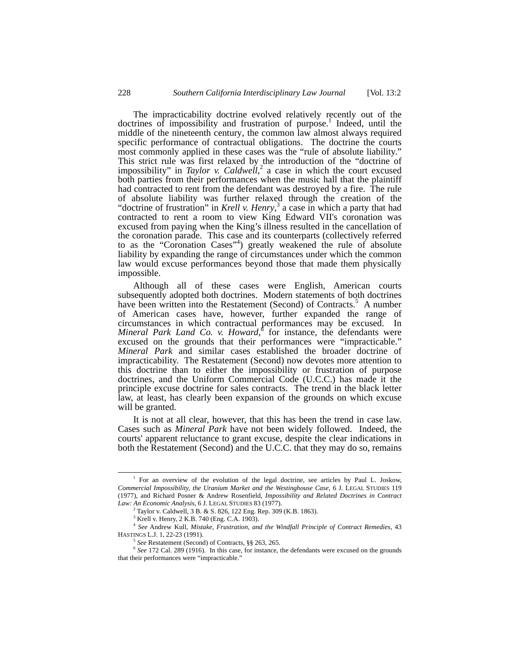The impracticability doctrine evolved relatively recently out of the doctrinesof impossibility and frustration of purpose.<sup>1</sup> Indeed, until the middle of the nineteenth century, the common law almost always required specific performance of contractual obligations. The doctrine the courts most commonly applied in these cases was the "rule of absolute liability." This strict rule was first relaxed by the introduction of the "doctrine of impossibility"in *Taylor v. Caldwell*<sup>2</sup> a case in which the court excused both parties from their performances when the music hall that the plaintiff had contracted to rent from the defendant was destroyed by a fire. The rule of absolute liability was further relaxed through the creation of the "doctrineof frustration" in *Krell v. Henry*,<sup>3</sup> a case in which a party that had contracted to rent a room to view King Edward VII's coronation was excused from paying when the King's illness resulted in the cancellation of the coronation parade. This case and its counterparts (collectively referred to as the "Coronation Cases"<sup>4</sup> [\)](#page-1-3) greatly weakened the rule of absolute liability by expanding the range of circumstances under which the common law would excuse performances beyond those that made them physically impossible.

Although all of these cases were English, American courts subsequently adopted both doctrines. Modern statements of both doctrines havebeen written into the Restatement (Second) of Contracts.<sup>5</sup> A number of American cases have, however, further expanded the range of circumstances in which contractual performances may be excused. In MineralPark Land Co. v. Howard,<sup>6</sup> for instance, the defendants were excused on the grounds that their performances were "impracticable." *Mineral Park* and similar cases established the broader doctrine of impracticability. The Restatement (Second) now devotes more attention to this doctrine than to either the impossibility or frustration of purpose doctrines, and the Uniform Commercial Code (U.C.C.) has made it the principle excuse doctrine for sales contracts. The trend in the black letter law, at least, has clearly been expansion of the grounds on which excuse will be granted.

It is not at all clear, however, that this has been the trend in case law. Cases such as *Mineral Park* have not been widely followed. Indeed, the courts' apparent reluctance to grant excuse, despite the clear indications in both the Restatement (Second) and the U.C.C. that they may do so, remains

<span id="page-1-0"></span> $\overline{\phantom{a}}$ <sup>1</sup> For an overview of the evolution of the legal doctrine, see articles by Paul L. Joskow, *Commercial Impossibility, the Uranium Market and the Westinghouse Case*, 6 J. LEGAL STUDIES 119 (1977), and Richard Posner & Andrew Rosenfield, *Impossibility and Related Doctrines in Contract Law: An Economic Analysis*, 6 J. LEGAL STUDIES 83 (1977).

<span id="page-1-1"></span><sup>2</sup> Taylor v. Caldwell*,* 3 B. & S. 826, 122 Eng. Rep. 309 (K.B. 1863).

<span id="page-1-3"></span><span id="page-1-2"></span><sup>3</sup> Krell v. Henry, 2 K.B. 740 (Eng. C.A. 1903).

<sup>4</sup> *See* Andrew Kull*, Mistake, Frustration, and the Windfall Principle of Contract Remedies*, 43 HASTINGS L.J. 1, 22-23 (1991).

<span id="page-1-5"></span><span id="page-1-4"></span><sup>5</sup> *See* Restatement (Second) of Contracts, §§ 263, 265*.*

<sup>6</sup> *See* 172 Cal. 289 (1916). In this case, for instance, the defendants were excused on the grounds that their performances were "impracticable."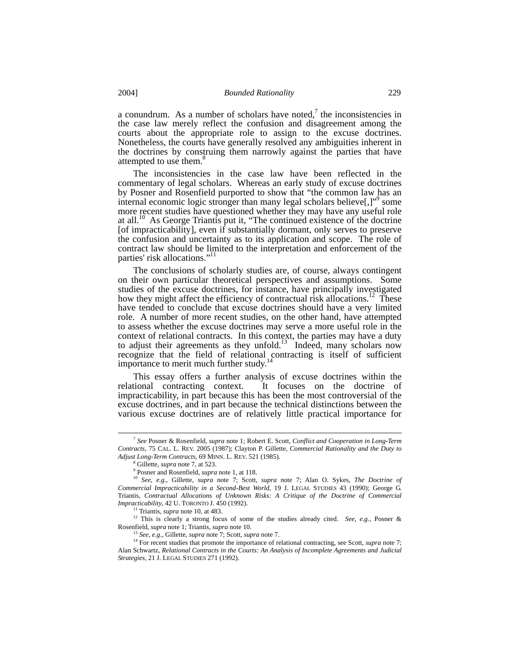a conundrum. As a number of scholars have noted,<sup>[7](#page-2-0)</sup> the inconsistencies in the case law merely reflect the confusion and disagreement among the courts about the appropriate role to assign to the excuse doctrines. Nonetheless, the courts have generally resolved any ambiguities inherent in the doctrines by construing them narrowly against the parties that have attempted to use them.<sup>[8](#page-2-1)</sup>

The inconsistencies in the case law have been reflected in the commentary of legal scholars. Whereas an early study of excuse doctrines by Posner and Rosenfield purported to show that "the common law has an internaleconomic logic stronger than many legal scholars believe[,]"<sup>9</sup> some more recent studies have questioned whether they may have any useful role at all.<sup>10</sup> As George Triantis put it, "The continued existence of the doctrine [of impracticability], even if substantially dormant, only serves to preserve the confusion and uncertainty as to its application and scope. The role of contract law should be limited to the interpretation and enforcement of the parties' risk allocations."[11](#page-2-4)

The conclusions of scholarly studies are, of course, always contingent on their own particular theoretical perspectives and assumptions. Some studies of the excuse doctrines, for instance, have principally investigated how they might affect the efficiency of contractual risk allocations.<sup>12</sup> These have tended to conclude that excuse doctrines should have a very limited role. A number of more recent studies, on the other hand, have attempted to assess whether the excuse doctrines may serve a more useful role in the context of relational contracts. In this context, the parties may have a duty to adjust their agreements as they unfold.<sup>13</sup> Indeed, many scholars now recognize that the field of relational contracting is itself of sufficient importance to merit much further study  $14$ importance to merit much further study.

This essay offers a further analysis of excuse doctrines within the relational contracting context. It focuses on the doctrine of impracticability, in part because this has been the most controversial of the excuse doctrines, and in part because the technical distinctions between the various excuse doctrines are of relatively little practical importance for

<span id="page-2-0"></span> <sup>7</sup> *See* Posner & Rosenfield, *supra* note 1; Robert E. Scott, *Conflict and Cooperation in Long-Term Contracts*, 75 CAL. L. REV. 2005 (1987); Clayton P. Gillette, *Commercial Rationality and the Duty to Adjust Long-Term Contracts*, 69 MINN. L. REV. 521 (1985).

<span id="page-2-1"></span><sup>8</sup> Gillette, *supra* note 7, at 523.

<span id="page-2-3"></span><span id="page-2-2"></span><sup>9</sup> Posner and Rosenfield, *supra* note 1, at 118.

<sup>10</sup> *See*, *e.g*., Gillette, *supra* note 7; Scott, *supra* note 7; Alan O. Sykes, *The Doctrine of Commercial Impracticability in a Second-Best World*, 19 J. LEGAL STUDIES 43 (1990); George G. Triantis, *Contractual Allocations of Unknown Risks: A Critique of the Doctrine of Commercial Impracticability*, 42 U. TORONTO J. 450 (1992).

<span id="page-2-5"></span><span id="page-2-4"></span><sup>11</sup> Triantis*, supra* note 10, at 483.

<sup>12</sup> This is clearly a strong focus of some of the studies already cited. *See*, *e.g*., Posner & Rosenfield, *supra* note 1; Triantis, *supra* note 10.

<span id="page-2-7"></span><span id="page-2-6"></span><sup>13</sup> *See*, *e.g*., Gillette, *supra* note 7; Scott, *supra* note 7.

<sup>&</sup>lt;sup>14</sup> For recent studies that promote the importance of relational contracting, see Scott, *supra* note 7; Alan Schwartz, *Relational Contracts in the Courts: An Analysis of Incomplete Agreements and Judicial Strategies*, 21 J. LEGAL STUDIES 271 (1992).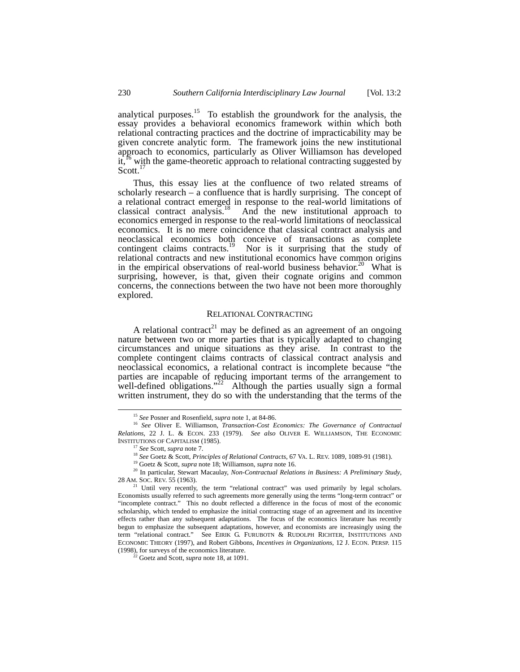analytical purposes.<sup>15</sup> To establish the groundwork for the analysis, the essay provides a behavioral economics framework within which both relational contracting practices and the doctrine of impracticability may be given concrete analytic form. The framework joins the new institutional approach to economics, particularly as Oliver Williamson has developed it,<sup>16</sup> with the game-theoretic approach to relational contracting suggested by Scott.<sup>[17](#page-3-2)</sup>

Thus, this essay lies at the confluence of two related streams of scholarly research  $-$  a confluence that is hardly surprising. The concept of a relational contract emerged in response to the real-world limitations of classical contract analysis.<sup>18</sup> And the new institutional approach to economics emerged in response to the real-world limitations of neoclassical economics. It is no mere coincidence that classical contract analysis and neoclassical economics both conceive of transactions as complete contingent claims contracts.<sup>19</sup> Nor is it surprising that the study of Nor is it surprising that the study of relational contracts and new institutional economics have common origins in the empirical observations of real-world business behavior.<sup>20</sup> What is surprising, however, is that, given their cognate origins and common concerns, the connections between the two have not been more thoroughly explored.

## RELATIONAL CONTRACTING

A relational contract<sup>[21](#page-3-6)</sup> may be defined as an agreement of an ongoing nature between two or more parties that is typically adapted to changing circumstances and unique situations as they arise. In contrast to the complete contingent claims contracts of classical contract analysis and neoclassical economics, a relational contract is incomplete because "the parties are incapable of reducing important terms of the arrangement to well-defined obligations."<sup>22</sup> Although the parties usually sign a formal written instrument, they do so with the understanding that the terms of the

<span id="page-3-1"></span><span id="page-3-0"></span> <sup>15</sup> *See* Posner and Rosenfield, *supra* note 1, at 84-86.

<sup>16</sup> *See* Oliver E. Williamson, *Transaction-Cost Economics: The Governance of Contractual Relations*, 22 J. L. & ECON. 233 (1979). *See also* OLIVER E. WILLIAMSON, THE ECONOMIC INSTITUTIONS OF CAPITALISM (1985).

<span id="page-3-2"></span><sup>17</sup> *See* Scott, *supra* note 7.

<span id="page-3-3"></span><sup>&</sup>lt;sup>18</sup> See Goetz & Scott, *Principles of Relational Contracts*, 67 VA. L. REV. 1089, 1089-91 (1981).

<span id="page-3-5"></span><span id="page-3-4"></span><sup>19</sup> Goetz & Scott, *supra* note 18; Williamson, *supra* note 16.

<sup>20</sup> In particular, Stewart Macaulay, *Non-Contractual Relations in Business: A Preliminary Study*, 28 AM. SOC. REV. 55 (1963).

<span id="page-3-6"></span><sup>&</sup>lt;sup>21</sup> Until very recently, the term "relational contract" was used primarily by legal scholars. Economists usually referred to such agreements more generally using the terms "long-term contract" or "incomplete contract." This no doubt reflected a difference in the focus of most of the economic scholarship, which tended to emphasize the initial contracting stage of an agreement and its incentive effects rather than any subsequent adaptations. The focus of the economics literature has recently begun to emphasize the subsequent adaptations, however, and economists are increasingly using the term "relational contract." See EIRIK G. FURUBOTN & RUDOLPH RICHTER, INSTITUTIONS AND ECONOMIC THEORY (1997), and Robert Gibbons, *Incentives in Organizations*, 12 J. ECON. PERSP. 115 (1998), for surveys of the economics literature.

<span id="page-3-7"></span><sup>22</sup> Goetz and Scott, *supra* note 18, at 1091.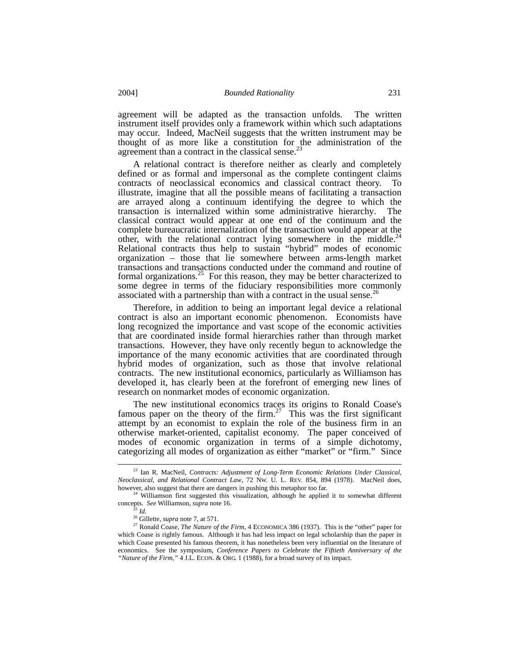agreement will be adapted as the transaction unfolds. The written instrument itself provides only a framework within which such adaptations may occur. Indeed, MacNeil suggests that the written instrument may be thought of as more like a constitution for the administration of the agreement than a contract in the classical sense.<sup>[23](#page-4-0)</sup>

A relational contract is therefore neither as clearly and completely defined or as formal and impersonal as the complete contingent claims contracts of neoclassical economics and classical contract theory. To illustrate, imagine that all the possible means of facilitating a transaction are arrayed along a continuum identifying the degree to which the transaction is internalized within some administrative hierarchy. The classical contract would appear at one end of the continuum and the complete bureaucratic internalization of the transaction would appear at the other, with the relational contract lying somewhere in the middle.<sup>24</sup> Relational contracts thus help to sustain "hybrid" modes of economic organization – those that lie somewhere between arms-length market transactions and transactions conducted under the command and routine of formal organizations.<sup>25</sup> For this reason, they may be better characterized to some degree in terms of the fiduciary responsibilities more commonly associated with a partnership than with a contract in the usual sense. $^{26}$  $^{26}$  $^{26}$ 

Therefore, in addition to being an important legal device a relational contract is also an important economic phenomenon. Economists have long recognized the importance and vast scope of the economic activities that are coordinated inside formal hierarchies rather than through market transactions. However, they have only recently begun to acknowledge the importance of the many economic activities that are coordinated through hybrid modes of organization, such as those that involve relational contracts. The new institutional economics, particularly as Williamson has developed it, has clearly been at the forefront of emerging new lines of research on nonmarket modes of economic organization.

The new institutional economics traces its origins to Ronald Coase's famous paper on the theory of the firm.<sup>27</sup> This was the first significant attempt by an economist to explain the role of the business firm in an otherwise market-oriented, capitalist economy. The paper conceived of modes of economic organization in terms of a simple dichotomy, categorizing all modes of organization as either "market" or "firm." Since

<span id="page-4-0"></span> <sup>23</sup> Ian R. MacNeil, *Contracts: Adjustment of Long-Term Economic Relations Under Classical, Neoclassical, and Relational Contract Law*, 72 NW. U. L. REV. 854, 894 (1978). MacNeil does, however, also suggest that there are dangers in pushing this metaphor too far.

<sup>&</sup>lt;sup>24</sup> Williamson first suggested this visualization, although he applied it to somewhat different concepts. *See* Williamson, *supra* note 16.

<span id="page-4-4"></span><span id="page-4-3"></span><span id="page-4-2"></span><span id="page-4-1"></span><sup>25</sup> *Id*. 26 Gillette, *supra* note 7, at 571.

<sup>27</sup> Ronald Coase, *The Nature of the Firm*, 4 ECONOMICA 386 (1937). This is the "other" paper for which Coase is rightly famous. Although it has had less impact on legal scholarship than the paper in which Coase presented his famous theorem, it has nonetheless been very influential on the literature of economics. See the symposium, *Conference Papers to Celebrate the Fiftieth Anniversary of the "Nature of the Firm*,*"* 4 J.L. ECON. & ORG. 1 (1988), for a broad survey of its impact.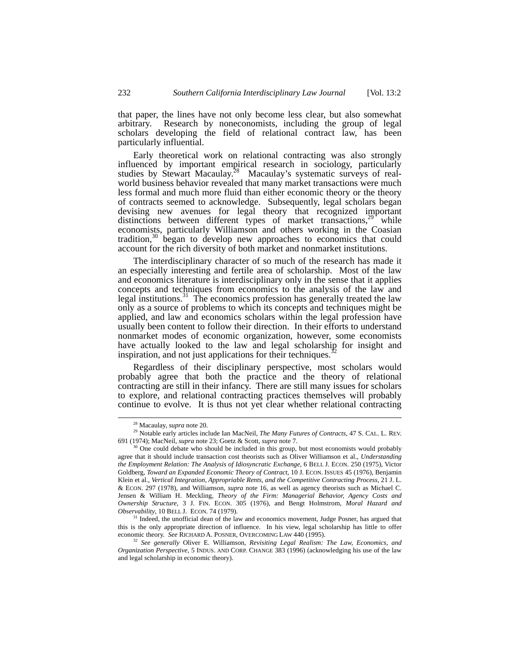that paper, the lines have not only become less clear, but also somewhat arbitrary. Research by noneconomists, including the group of legal scholars developing the field of relational contract law, has been particularly influential.

Early theoretical work on relational contracting was also strongly influenced by important empirical research in sociology, particularly studies by Stewart Macaulay.<sup>28</sup> Macaulay's systematic surveys of realworld business behavior revealed that many market transactions were much less formal and much more fluid than either economic theory or the theory of contracts seemed to acknowledge. Subsequently, legal scholars began devising new avenues for legal theory that recognized important distinctions between different types of market transactions,<sup>29</sup> while economists, particularly Williamson and others working in the Coasian tradition[,30](#page-5-2) began to develop new approaches to economics that could account for the rich diversity of both market and nonmarket institutions.

The interdisciplinary character of so much of the research has made it an especially interesting and fertile area of scholarship. Most of the law and economics literature is interdisciplinary only in the sense that it applies concepts and techniques from economics to the analysis of the law and legal institutions.<sup>31</sup> The economics profession has generally treated the law only as a source of problems to which its concepts and techniques might be applied, and law and economics scholars within the legal profession have usually been content to follow their direction. In their efforts to understand nonmarket modes of economic organization, however, some economists have actually looked to the law and legal scholarship for insight and inspiration, and not just applications for their techniques.<sup>3</sup>

Regardless of their disciplinary perspective, most scholars would probably agree that both the practice and the theory of relational contracting are still in their infancy. There are still many issues for scholars to explore, and relational contracting practices themselves will probably continue to evolve. It is thus not yet clear whether relational contracting

<span id="page-5-1"></span><span id="page-5-0"></span> <sup>28</sup> Macaulay, *supra* note 20.

<sup>29</sup> Notable early articles include Ian MacNeil, *The Many Futures of Contracts*, 47 S. CAL. L. REV. 691 (1974); MacNeil, *supra* note 23; Goetz & Scott, *supra* note 7.

<span id="page-5-2"></span><sup>30</sup> One could debate who should be included in this group, but most economists would probably agree that it should include transaction cost theorists such as Oliver Williamson et al., *Understanding the Employment Relation: The Analysis of Idiosyncratic Exchange*, 6 BELL J. ECON. 250 (1975), Victor Goldberg, *Toward an Expanded Economic Theory of Contract*, 10 J. ECON. ISSUES 45 (1976), Benjamin Klein et al., *Vertical Integration, Appropriable Rents, and the Competitive Contracting Process*, 21 J. L. & ECON. 297 (1978), and Williamson, *supra* note 16, as well as agency theorists such as Michael C. Jensen & William H. Meckling, *Theory of the Firm: Managerial Behavior, Agency Costs and Ownership Structure*, 3 J. FIN. ECON. 305 (1976), and Bengt Holmstrom, *Moral Hazard and Observability*, 10 BELL J. ECON. 74 (1979).

<span id="page-5-3"></span><sup>&</sup>lt;sup>31</sup> Indeed, the unofficial dean of the law and economics movement, Judge Posner, has argued that this is the only appropriate direction of influence. In his view, legal scholarship has little to offer economic theory. *See* RICHARD A. POSNER, OVERCOMING LAW 440 (1995).

<span id="page-5-4"></span><sup>32</sup> *See generally* Oliver E. Williamson, *Revisiting Legal Realism: The Law, Economics, and Organization Perspective*, 5 INDUS. AND CORP. CHANGE 383 (1996) (acknowledging his use of the law and legal scholarship in economic theory).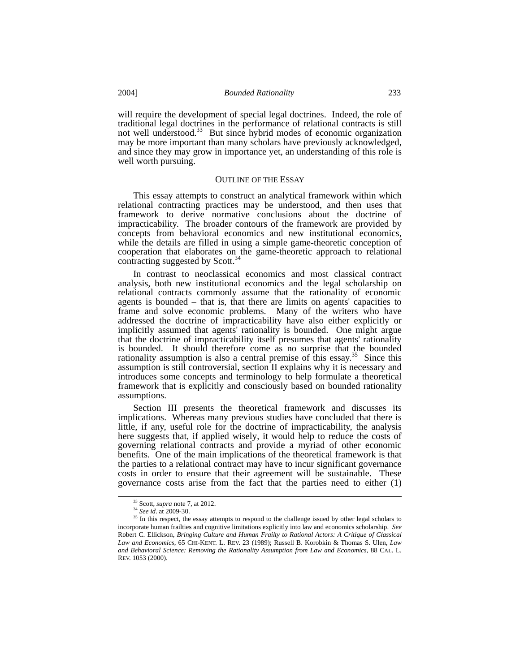will require the development of special legal doctrines. Indeed, the role of traditional legal doctrines in the performance of relational contracts is still not well understood.<sup>33</sup> But since hybrid modes of economic organization may be more important than many scholars have previously acknowledged, and since they may grow in importance yet, an understanding of this role is well worth pursuing.

#### OUTLINE OF THE ESSAY

This essay attempts to construct an analytical framework within which relational contracting practices may be understood, and then uses that framework to derive normative conclusions about the doctrine of impracticability. The broader contours of the framework are provided by concepts from behavioral economics and new institutional economics, while the details are filled in using a simple game-theoretic conception of cooperation that elaborates on the game-theoretic approach to relational contracting suggested by Scott.<sup>34</sup>

In contrast to neoclassical economics and most classical contract analysis, both new institutional economics and the legal scholarship on relational contracts commonly assume that the rationality of economic agents is bounded – that is, that there are limits on agents' capacities to frame and solve economic problems. Many of the writers who have addressed the doctrine of impracticability have also either explicitly or implicitly assumed that agents' rationality is bounded. One might argue that the doctrine of impracticability itself presumes that agents' rationality is bounded. It should therefore come as no surprise that the bounded rationality assumption is also a central premise of this essay.<sup>35</sup> Since this assumption is still controversial, section II explains why it is necessary and introduces some concepts and terminology to help formulate a theoretical framework that is explicitly and consciously based on bounded rationality assumptions.

Section III presents the theoretical framework and discusses its implications. Whereas many previous studies have concluded that there is little, if any, useful role for the doctrine of impracticability, the analysis here suggests that, if applied wisely, it would help to reduce the costs of governing relational contracts and provide a myriad of other economic benefits. One of the main implications of the theoretical framework is that the parties to a relational contract may have to incur significant governance costs in order to ensure that their agreement will be sustainable. These governance costs arise from the fact that the parties need to either (1)

<span id="page-6-0"></span> <sup>33</sup> Scott, *supra* note 7, at 2012. <sup>34</sup> *See id*. at 2009-30.

<span id="page-6-2"></span><span id="page-6-1"></span>

<sup>&</sup>lt;sup>35</sup> In this respect, the essay attempts to respond to the challenge issued by other legal scholars to incorporate human frailties and cognitive limitations explicitly into law and economics scholarship. *See* Robert C. Ellickson, *Bringing Culture and Human Frailty to Rational Actors: A Critique of Classical Law and Economics*, 65 CHI-KENT. L. REV. 23 (1989); Russell B. Korobkin & Thomas S. Ulen, *Law and Behavioral Science: Removing the Rationality Assumption from Law and Economics*, 88 CAL. L. REV. 1053 (2000).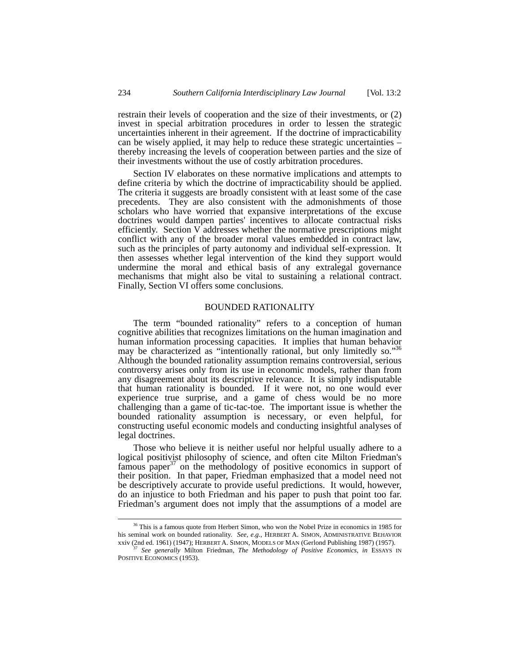restrain their levels of cooperation and the size of their investments, or (2) invest in special arbitration procedures in order to lessen the strategic uncertainties inherent in their agreement. If the doctrine of impracticability can be wisely applied, it may help to reduce these strategic uncertainties – thereby increasing the levels of cooperation between parties and the size of their investments without the use of costly arbitration procedures.

Section IV elaborates on these normative implications and attempts to define criteria by which the doctrine of impracticability should be applied. The criteria it suggests are broadly consistent with at least some of the case precedents. They are also consistent with the admonishments of those scholars who have worried that expansive interpretations of the excuse doctrines would dampen parties' incentives to allocate contractual risks efficiently. Section V addresses whether the normative prescriptions might conflict with any of the broader moral values embedded in contract law, such as the principles of party autonomy and individual self-expression. It then assesses whether legal intervention of the kind they support would undermine the moral and ethical basis of any extralegal governance mechanisms that might also be vital to sustaining a relational contract. Finally, Section VI offers some conclusions.

## BOUNDED RATIONALITY

The term "bounded rationality" refers to a conception of human cognitive abilities that recognizes limitations on the human imagination and human information processing capacities. It implies that human behavior may be characterized as "intentionally rational, but only limitedly so."<sup>36</sup> Although the bounded rationality assumption remains controversial, serious controversy arises only from its use in economic models, rather than from any disagreement about its descriptive relevance. It is simply indisputable that human rationality is bounded. If it were not, no one would ever experience true surprise, and a game of chess would be no more challenging than a game of tic-tac-toe. The important issue is whether the bounded rationality assumption is necessary, or even helpful, for constructing useful economic models and conducting insightful analyses of legal doctrines.

Those who believe it is neither useful nor helpful usually adhere to a logical positivist philosophy of science, and often cite Milton Friedman's famous paper<sup>37</sup> on the methodology of positive economics in support of their position. In that paper, Friedman emphasized that a model need not be descriptively accurate to provide useful predictions. It would, however, do an injustice to both Friedman and his paper to push that point too far. Friedman's argument does not imply that the assumptions of a model are

<span id="page-7-0"></span><sup>&</sup>lt;sup>36</sup> This is a famous quote from Herbert Simon, who won the Nobel Prize in economics in 1985 for his seminal work on bounded rationality. *See*, *e.g.*, HERBERT A. SIMON, ADMINISTRATIVE BEHAVIOR xxiv (2nd ed. 1961) (1947); HERBERT A. SIMON, MODELS OF MAN (Gerlond Publishing 1987) (1957).

<span id="page-7-1"></span><sup>37</sup> *See generally* Milton Friedman, *The Methodology of Positive Economics*, *in* ESSAYS IN POSITIVE ECONOMICS (1953).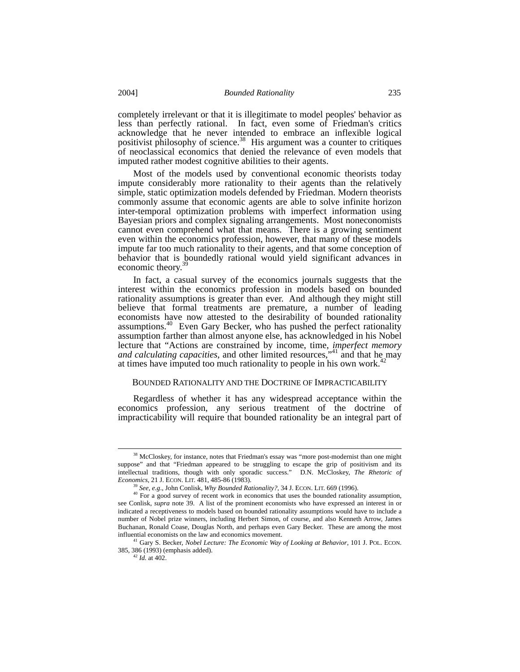completely irrelevant or that it is illegitimate to model peoples' behavior as less than perfectly rational. In fact, even some of Friedman's critics acknowledge that he never intended to embrace an inflexible logical positivist philosophy of science.<sup>38</sup> His argument was a counter to critiques of neoclassical economics that denied the relevance of even models that imputed rather modest cognitive abilities to their agents.

Most of the models used by conventional economic theorists today impute considerably more rationality to their agents than the relatively simple, static optimization models defended by Friedman. Modern theorists commonly assume that economic agents are able to solve infinite horizon inter-temporal optimization problems with imperfect information using Bayesian priors and complex signaling arrangements. Most noneconomists cannot even comprehend what that means. There is a growing sentiment even within the economics profession, however, that many of these models impute far too much rationality to their agents, and that some conception of behavior that is boundedly rational would yield significant advances in economic theory.<sup>[39](#page-8-1)</sup>

In fact, a casual survey of the economics journals suggests that the interest within the economics profession in models based on bounded rationality assumptions is greater than ever. And although they might still believe that formal treatments are premature, a number of leading economists have now attested to the desirability of bounded rationality assumptions.[40](#page-8-2) Even Gary Becker, who has pushed the perfect rationality assumption farther than almost anyone else, has acknowledged in his Nobel lecture that "Actions are constrained by income, time, *imperfect memory and calculating capacities*, and other limited resources,["41](#page-8-3) and that he may at times have imputed too much rationality to people in his own work.<sup>4</sup>

#### BOUNDED RATIONALITY AND THE DOCTRINE OF IMPRACTICABILITY

Regardless of whether it has any widespread acceptance within the economics profession, any serious treatment of the doctrine of impracticability will require that bounded rationality be an integral part of

<span id="page-8-0"></span><sup>&</sup>lt;sup>38</sup> McCloskey, for instance, notes that Friedman's essay was "more post-modernist than one might suppose" and that "Friedman appeared to be struggling to escape the grip of positivism and its intellectual traditions, though with only sporadic success." D.N. McCloskey, *The Rhetoric of Economics*, 21 J. ECON. LIT. 481, 485-86 (1983).

<span id="page-8-2"></span><span id="page-8-1"></span><sup>39</sup> *See*, *e.g*., John Conlisk, *Why Bounded Rationality?*, 34 J. ECON. LIT. 669 (1996).

 $40$  For a good survey of recent work in economics that uses the bounded rationality assumption, see Conlisk, *supra* note 39. A list of the prominent economists who have expressed an interest in or indicated a receptiveness to models based on bounded rationality assumptions would have to include a number of Nobel prize winners, including Herbert Simon, of course, and also Kenneth Arrow, James Buchanan, Ronald Coase, Douglas North, and perhaps even Gary Becker. These are among the most influential economists on the law and economics movement.

<sup>41</sup> Gary S. Becker, *Nobel Lecture: The Economic Way of Looking at Behavior*, 101 J. POL. ECON. 385, 386 (1993) (emphasis added).

<span id="page-8-4"></span><span id="page-8-3"></span><sup>42</sup> *Id.* at 402.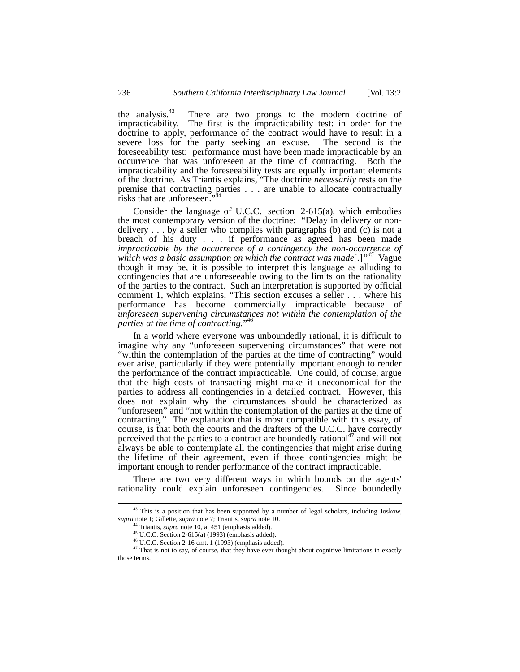the analysis.<sup>43</sup> There are two prongs to the modern doctrine of impracticability. The first is the impracticability test: in order for the doctrine to apply, performance of the contract would have to result in a severe loss for the party seeking an excuse. The second is the foreseeability test: performance must have been made impracticable by an occurrence that was unforeseen at the time of contracting. Both the impracticability and the foreseeability tests are equally important elements of the doctrine. As Triantis explains, "The doctrine *necessarily* rests on the premise that contracting parties . . . are unable to allocate contractually risks that are unforeseen."

Consider the language of U.C.C. section 2-615(a), which embodies the most contemporary version of the doctrine: "Delay in delivery or nondelivery  $\dots$  by a seller who complies with paragraphs (b) and (c) is not a breach of his duty . . . if performance as agreed has been made *impracticable by the occurrence of a contingency the non-occurrence of which was a basic assumption on which the contract was made*[.]*"<sup>45</sup>*Vague though it may be, it is possible to interpret this language as alluding to contingencies that are unforeseeable owing to the limits on the rationality of the parties to the contract. Such an interpretation is supported by official comment 1, which explains, "This section excuses a seller . . . where his performance has become commercially impracticable because of *unforeseen supervening circumstances not within the contemplation of the parties at the time of contracting.*" [46](#page-9-3)

In a world where everyone was unboundedly rational, it is difficult to imagine why any "unforeseen supervening circumstances" that were not "within the contemplation of the parties at the time of contracting" would ever arise, particularly if they were potentially important enough to render the performance of the contract impracticable. One could, of course, argue that the high costs of transacting might make it uneconomical for the parties to address all contingencies in a detailed contract. However, this does not explain why the circumstances should be characterized as "unforeseen" and "not within the contemplation of the parties at the time of contracting." The explanation that is most compatible with this essay, of course, is that both the courts and the drafters of the U.C.C. have correctly perceived that the parties to a contract are boundedly rational<sup>47</sup> and will not always be able to contemplate all the contingencies that might arise during the lifetime of their agreement, even if those contingencies might be important enough to render performance of the contract impracticable.

There are two very different ways in which bounds on the agents' rationality could explain unforeseen contingencies. Since boundedly

 $43$  This is a position that has been supported by a number of legal scholars, including Joskow, *supra* note 1; Gillette, *supra* note 7; Triantis, *supra* note 10.

<span id="page-9-1"></span><span id="page-9-0"></span><sup>44</sup> Triantis, *supra* note 10, at 451 (emphasis added).

<span id="page-9-2"></span><sup>45</sup> U.C.C. Section 2-615(a) (1993) (emphasis added).

<span id="page-9-4"></span><span id="page-9-3"></span> $46$  U.C.C. Section 2-16 cmt. 1 (1993) (emphasis added).

<sup>&</sup>lt;sup>47</sup> That is not to say, of course, that they have ever thought about cognitive limitations in exactly those terms.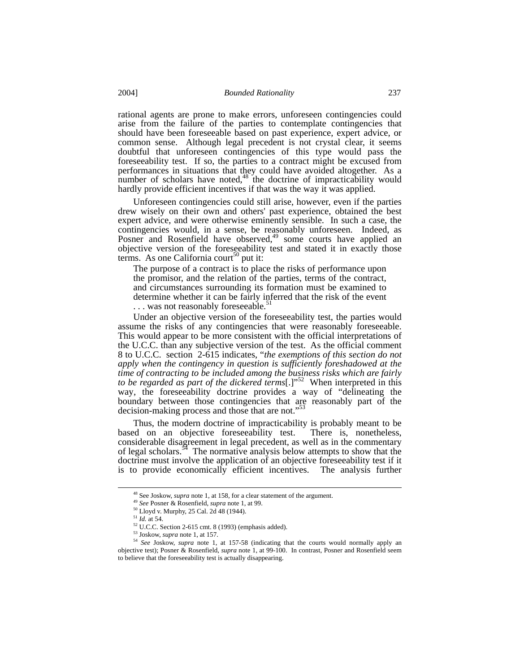rational agents are prone to make errors, unforeseen contingencies could arise from the failure of the parties to contemplate contingencies that should have been foreseeable based on past experience, expert advice, or common sense. Although legal precedent is not crystal clear, it seems doubtful that unforeseen contingencies of this type would pass the foreseeability test. If so, the parties to a contract might be excused from performances in situations that they could have avoided altogether. As a number of scholars have noted, $48$  the doctrine of impracticability would hardly provide efficient incentives if that was the way it was applied.

Unforeseen contingencies could still arise, however, even if the parties drew wisely on their own and others' past experience, obtained the best expert advice, and were otherwise eminently sensible. In such a case, the contingencies would, in a sense, be reasonably unforeseen. Indeed, as Posner and Rosenfield have observed,<sup>49</sup> some courts have applied an objective version of the foreseeability test and stated it in exactly those terms. As one California court<sup>50</sup> put it:

The purpose of a contract is to place the risks of performance upon the promisor, and the relation of the parties, terms of the contract, and circumstances surrounding its formation must be examined to determine whether it can be fairly inferred that the risk of the event

... was not reasonably foreseeable.<sup>[51](#page-10-3)</sup>

Under an objective version of the foreseeability test, the parties would assume the risks of any contingencies that were reasonably foreseeable. This would appear to be more consistent with the official interpretations of the U.C.C. than any subjective version of the test. As the official comment 8 to U.C.C. section 2-615 indicates, "*the exemptions of this section do not apply when the contingency in question is sufficiently foreshadowed at the time of contracting to be included among the business risks which are fairly to be regarded as part of the dickered terms*[.]"<sup>52</sup> When interpreted in this way, the foreseeability doctrine provides a way of "delineating the boundary between those contingencies that are reasonably part of the decision-making process and those that are not."<sup>[53](#page-10-5)</sup>

Thus, the modern doctrine of impracticability is probably meant to be based on an objective foreseeability test. There is, nonetheless, considerable disagreement in legal precedent, as well as in the commentary of legal scholars.<sup>54</sup> The normative analysis below attempts to show that the doctrine must involve the application of an objective foreseeability test if it is to provide economically efficient incentives. The analysis further

<span id="page-10-0"></span> <sup>48</sup> See Joskow, *supra* note 1, at 158, for a clear statement of the argument.

<span id="page-10-1"></span><sup>49</sup> *See* Posner & Rosenfield, *supra* note 1, at 99.

<span id="page-10-2"></span><sup>50</sup> Lloyd v. Murphy, 25 Cal. 2d 48 (1944).

<span id="page-10-3"></span><sup>51</sup> *Id.* at 54.

<span id="page-10-4"></span> $52$  U.C.C. Section 2-615 cmt. 8 (1993) (emphasis added).<br> $53$  Joskow, *supra* note 1, at 157.

<span id="page-10-6"></span><span id="page-10-5"></span>

<sup>&</sup>lt;sup>54</sup> *See Joskow, supra* note 1, at 157-58 (indicating that the courts would normally apply an objective test); Posner & Rosenfield, *supra* note 1, at 99-100. In contrast, Posner and Rosenfield seem to believe that the foreseeability test is actually disappearing.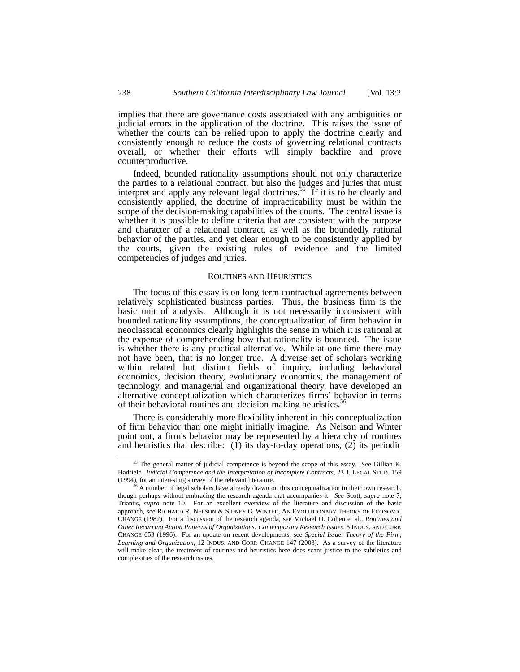implies that there are governance costs associated with any ambiguities or judicial errors in the application of the doctrine. This raises the issue of whether the courts can be relied upon to apply the doctrine clearly and consistently enough to reduce the costs of governing relational contracts overall, or whether their efforts will simply backfire and prove counterproductive.

Indeed, bounded rationality assumptions should not only characterize the parties to a relational contract, but also the judges and juries that must interpret and apply any relevant legal doctrines.<sup>55</sup> If it is to be clearly and consistently applied, the doctrine of impracticability must be within the scope of the decision-making capabilities of the courts. The central issue is whether it is possible to define criteria that are consistent with the purpose and character of a relational contract, as well as the boundedly rational behavior of the parties, and yet clear enough to be consistently applied by the courts, given the existing rules of evidence and the limited competencies of judges and juries.

## ROUTINES AND HEURISTICS

The focus of this essay is on long-term contractual agreements between relatively sophisticated business parties. Thus, the business firm is the basic unit of analysis. Although it is not necessarily inconsistent with bounded rationality assumptions, the conceptualization of firm behavior in neoclassical economics clearly highlights the sense in which it is rational at the expense of comprehending how that rationality is bounded. The issue is whether there is any practical alternative. While at one time there may not have been, that is no longer true. A diverse set of scholars working within related but distinct fields of inquiry, including behavioral economics, decision theory, evolutionary economics, the management of technology, and managerial and organizational theory, have developed an alternative conceptualization which characterizes firms' behavior in terms of their behavioral routines and decision-making heuristics.<sup>5</sup>

There is considerably more flexibility inherent in this conceptualization of firm behavior than one might initially imagine. As Nelson and Winter point out, a firm's behavior may be represented by a hierarchy of routines and heuristics that describe: (1) its day-to-day operations, (2) its periodic

<span id="page-11-0"></span><sup>&</sup>lt;sup>55</sup> The general matter of judicial competence is beyond the scope of this essay. See Gillian K. Hadfield, *Judicial Competence and the Interpretation of Incomplete Contracts*, 23 J. LEGAL STUD. 159 (1994), for an interesting survey of the relevant literature.<br><sup>56</sup> A number of legal scholars have already drawn on this conceptualization in their own research,

<span id="page-11-1"></span>though perhaps without embracing the research agenda that accompanies it. *See* Scott, *supra* note 7; Triantis, *supra* note 10. For an excellent overview of the literature and discussion of the basic approach, see RICHARD R. NELSON & SIDNEY G. WINTER, AN EVOLUTIONARY THEORY OF ECONOMIC CHANGE (1982). For a discussion of the research agenda, see Michael D. Cohen et al., *Routines and Other Recurring Action Patterns of Organizations: Contemporary Research Issues*, 5 INDUS. AND CORP. CHANGE 653 (1996). For an update on recent developments, see *Special Issue: Theory of the Firm, Learning and Organization*, 12 INDUS. AND CORP. CHANGE 147 (2003). As a survey of the literature will make clear, the treatment of routines and heuristics here does scant justice to the subtleties and complexities of the research issues.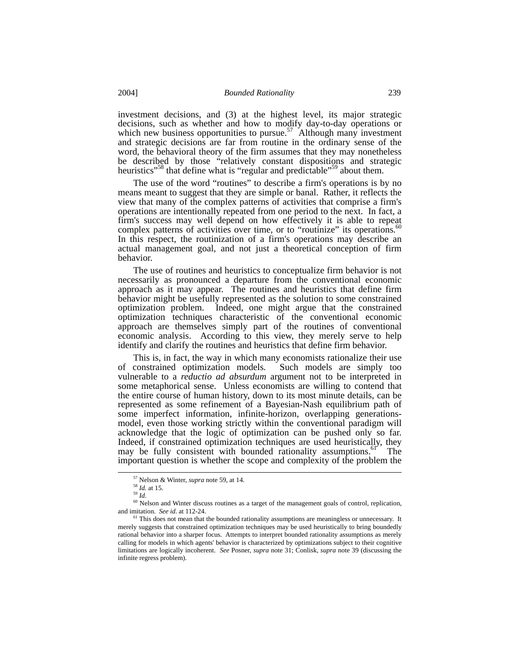investment decisions, and (3) at the highest level, its major strategic decisions, such as whether and how to modify day-to-day operations or which new business opportunities to pursue.<sup>57</sup> Although many investment and strategic decisions are far from routine in the ordinary sense of the word, the behavioral theory of the firm assumes that they may nonetheless be described by those "relatively constant dispositions and strategic heuristics"<sup>58</sup> that define what is "regular and predictable"<sup>59</sup> about them.

The use of the word "routines" to describe a firm's operations is by no means meant to suggest that they are simple or banal. Rather, it reflects the view that many of the complex patterns of activities that comprise a firm's operations are intentionally repeated from one period to the next. In fact, a firm's success may well depend on how effectively it is able to repeat complex patterns of activities over time, or to "routinize" its operations. [60](#page-12-3)  In this respect, the routinization of a firm's operations may describe an actual management goal, and not just a theoretical conception of firm behavior.

The use of routines and heuristics to conceptualize firm behavior is not necessarily as pronounced a departure from the conventional economic approach as it may appear. The routines and heuristics that define firm behavior might be usefully represented as the solution to some constrained optimization problem. Indeed, one might argue that the constrained optimization techniques characteristic of the conventional economic approach are themselves simply part of the routines of conventional economic analysis. According to this view, they merely serve to help identify and clarify the routines and heuristics that define firm behavior.

This is, in fact, the way in which many economists rationalize their use of constrained optimization models. Such models are simply too vulnerable to a *reductio ad absurdum* argument not to be interpreted in some metaphorical sense. Unless economists are willing to contend that the entire course of human history, down to its most minute details, can be represented as some refinement of a Bayesian-Nash equilibrium path of some imperfect information, infinite-horizon, overlapping generationsmodel, even those working strictly within the conventional paradigm will acknowledge that the logic of optimization can be pushed only so far. Indeed, if constrained optimization techniques are used heuristically, they may be fully consistent with bounded rationality assumptions.<sup>61</sup> The important question is whether the scope and complexity of the problem the

<span id="page-12-0"></span> <sup>57</sup> Nelson & Winter, *supra* note 59, at 14.

<span id="page-12-1"></span> $\frac{58}{59}$  *Id.* at 15.

<span id="page-12-3"></span><span id="page-12-2"></span>

<sup>&</sup>lt;sup>60</sup> Nelson and Winter discuss routines as a target of the management goals of control, replication, and imitation. *See id*. at 112-24.

<span id="page-12-4"></span><sup>&</sup>lt;sup>61</sup> This does not mean that the bounded rationality assumptions are meaningless or unnecessary. It merely suggests that constrained optimization techniques may be used heuristically to bring boundedly rational behavior into a sharper focus. Attempts to interpret bounded rationality assumptions as merely calling for models in which agents' behavior is characterized by optimizations subject to their cognitive limitations are logically incoherent. *See* Posner, *supra* note 31; Conlisk, *supra* note 39 (discussing the infinite regress problem).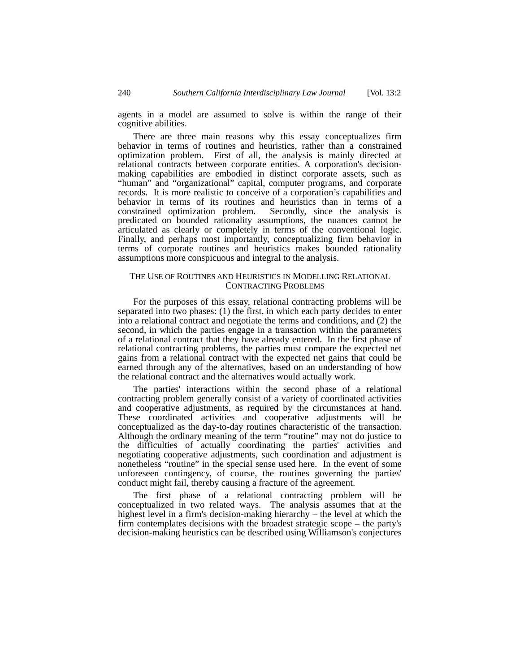agents in a model are assumed to solve is within the range of their cognitive abilities.

There are three main reasons why this essay conceptualizes firm behavior in terms of routines and heuristics, rather than a constrained optimization problem. First of all, the analysis is mainly directed at relational contracts between corporate entities. A corporation's decisionmaking capabilities are embodied in distinct corporate assets, such as "human" and "organizational" capital, computer programs, and corporate records. It is more realistic to conceive of a corporation's capabilities and behavior in terms of its routines and heuristics than in terms of a constrained optimization problem. Secondly, since the analysis is predicated on bounded rationality assumptions, the nuances cannot be articulated as clearly or completely in terms of the conventional logic. Finally, and perhaps most importantly, conceptualizing firm behavior in terms of corporate routines and heuristics makes bounded rationality assumptions more conspicuous and integral to the analysis.

# THE USE OF ROUTINES AND HEURISTICS IN MODELLING RELATIONAL CONTRACTING PROBLEMS

For the purposes of this essay, relational contracting problems will be separated into two phases: (1) the first, in which each party decides to enter into a relational contract and negotiate the terms and conditions, and (2) the second, in which the parties engage in a transaction within the parameters of a relational contract that they have already entered. In the first phase of relational contracting problems, the parties must compare the expected net gains from a relational contract with the expected net gains that could be earned through any of the alternatives, based on an understanding of how the relational contract and the alternatives would actually work.

The parties' interactions within the second phase of a relational contracting problem generally consist of a variety of coordinated activities and cooperative adjustments, as required by the circumstances at hand. These coordinated activities and cooperative adjustments will be conceptualized as the day-to-day routines characteristic of the transaction. Although the ordinary meaning of the term "routine" may not do justice to the difficulties of actually coordinating the parties' activities and negotiating cooperative adjustments, such coordination and adjustment is nonetheless "routine" in the special sense used here. In the event of some unforeseen contingency, of course, the routines governing the parties' conduct might fail, thereby causing a fracture of the agreement.

The first phase of a relational contracting problem will be conceptualized in two related ways. The analysis assumes that at the highest level in a firm's decision-making hierarchy – the level at which the firm contemplates decisions with the broadest strategic scope – the party's decision-making heuristics can be described using Williamson's conjectures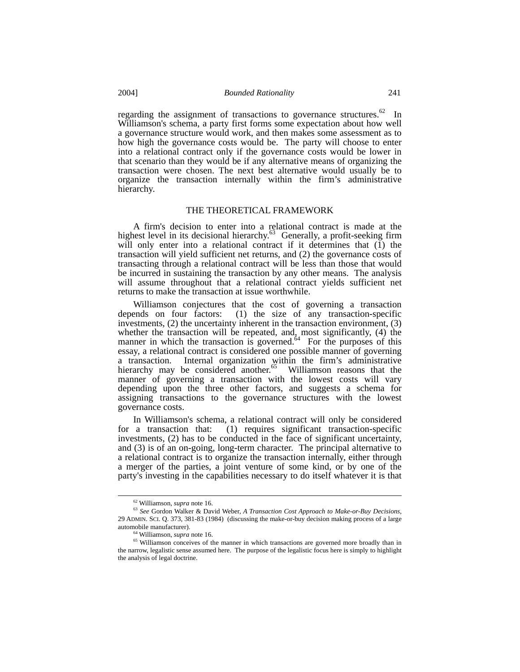regarding the assignment of transactions to governance structures.<sup>62</sup> In Williamson's schema, a party first forms some expectation about how well a governance structure would work, and then makes some assessment as to how high the governance costs would be. The party will choose to enter into a relational contract only if the governance costs would be lower in that scenario than they would be if any alternative means of organizing the transaction were chosen. The next best alternative would usually be to organize the transaction internally within the firm's administrative hierarchy.

#### THE THEORETICAL FRAMEWORK

A firm's decision to enter into a relational contract is made at the highest level in its decisional hierarchy.<sup>63</sup> Generally, a profit-seeking firm will only enter into a relational contract if it determines that (1) the transaction will yield sufficient net returns, and (2) the governance costs of transacting through a relational contract will be less than those that would be incurred in sustaining the transaction by any other means. The analysis will assume throughout that a relational contract yields sufficient net returns to make the transaction at issue worthwhile.

Williamson conjectures that the cost of governing a transaction depends on four factors: (1) the size of any transaction-specific  $(1)$  the size of any transaction-specific investments, (2) the uncertainty inherent in the transaction environment, (3) whether the transaction will be repeated, and, most significantly, (4) the manner in which the transaction is governed. $64$  For the purposes of this essay, a relational contract is considered one possible manner of governing a transaction. Internal organization within the firm's administrative hierarchy may be considered another.<sup>65</sup> Williamson reasons that the manner of governing a transaction with the lowest costs will vary depending upon the three other factors, and suggests a schema for assigning transactions to the governance structures with the lowest governance costs.

In Williamson's schema, a relational contract will only be considered for a transaction that: (1) requires significant transaction-specific investments, (2) has to be conducted in the face of significant uncertainty, and  $(3)$  is of an on-going, long-term character. The principal alternative to a relational contract is to organize the transaction internally, either through a merger of the parties, a joint venture of some kind, or by one of the party's investing in the capabilities necessary to do itself whatever it is that

<span id="page-14-1"></span><span id="page-14-0"></span> <sup>62</sup> Williamson, *supra* note 16.

<sup>63</sup> *See* Gordon Walker & David Weber, *A Transaction Cost Approach to Make-or-Buy Decisions*, 29 ADMIN. SCI. Q. 373, 381-83 (1984) (discussing the make-or-buy decision making process of a large automobile manufacturer).

<span id="page-14-3"></span><span id="page-14-2"></span><sup>64</sup> Williamson, *supra* note 16.

<sup>&</sup>lt;sup>65</sup> Williamson conceives of the manner in which transactions are governed more broadly than in the narrow, legalistic sense assumed here. The purpose of the legalistic focus here is simply to highlight the analysis of legal doctrine.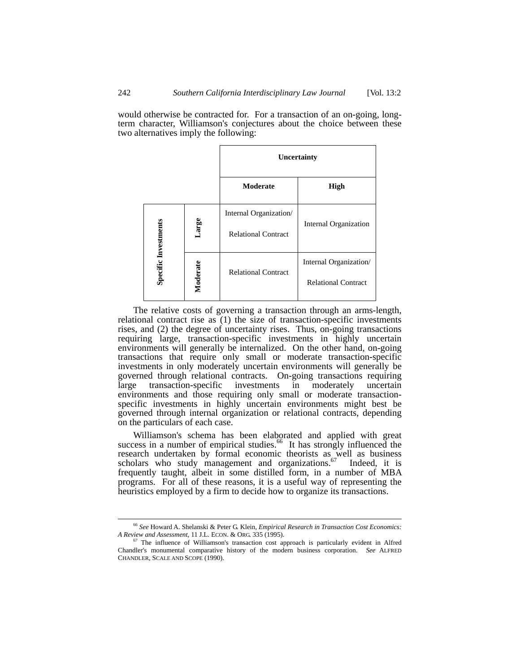would otherwise be contracted for. For a transaction of an on-going, longterm character, Williamson's conjectures about the choice between these two alternatives imply the following:

|                      |          | Uncertainty                                          |                                                      |
|----------------------|----------|------------------------------------------------------|------------------------------------------------------|
|                      |          | Moderate                                             | High                                                 |
| Specific Investments | Large    | Internal Organization/<br><b>Relational Contract</b> | Internal Organization                                |
|                      | Moderate | <b>Relational Contract</b>                           | Internal Organization/<br><b>Relational Contract</b> |

The relative costs of governing a transaction through an arms-length, relational contract rise as (1) the size of transaction-specific investments rises, and (2) the degree of uncertainty rises. Thus, on-going transactions requiring large, transaction-specific investments in highly uncertain environments will generally be internalized. On the other hand, on-going transactions that require only small or moderate transaction-specific investments in only moderately uncertain environments will generally be governed through relational contracts. On-going transactions requiring large transaction-specific investments in moderately uncertain environments and those requiring only small or moderate transactionspecific investments in highly uncertain environments might best be governed through internal organization or relational contracts, depending on the particulars of each case.

Williamson's schema has been elaborated and applied with great success in a number of empirical studies.<sup>66</sup> It has strongly influenced the research undertaken by formal economic theorists as well as business scholars who study management and organizations. $67$  Indeed, it is frequently taught, albeit in some distilled form, in a number of MBA programs. For all of these reasons, it is a useful way of representing the heuristics employed by a firm to decide how to organize its transactions.

<span id="page-15-0"></span> <sup>66</sup> *See* Howard A. Shelanski & Peter G. Klein, *Empirical Research in Transaction Cost Economics: A Review and Assessment*, 11 J.L. ECON. & ORG. 335 (1995).

<span id="page-15-1"></span><sup>67</sup> The influence of Williamson's transaction cost approach is particularly evident in Alfred Chandler's monumental comparative history of the modern business corporation. *See* ALFRED CHANDLER, SCALE AND SCOPE (1990).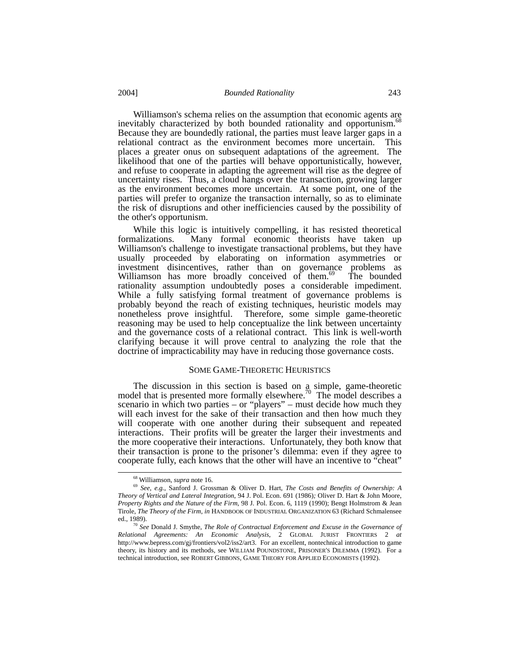Williamson's schema relies on the assumption that economic agents are inevitably characterized by both bounded rationality and opportunism.<sup>68</sup> Because they are boundedly rational, the parties must leave larger gaps in a relational contract as the environment becomes more uncertain. This places a greater onus on subsequent adaptations of the agreement. The likelihood that one of the parties will behave opportunistically, however, and refuse to cooperate in adapting the agreement will rise as the degree of uncertainty rises. Thus, a cloud hangs over the transaction, growing larger as the environment becomes more uncertain. At some point, one of the parties will prefer to organize the transaction internally, so as to eliminate the risk of disruptions and other inefficiencies caused by the possibility of the other's opportunism.

While this logic is intuitively compelling, it has resisted theoretical formalizations. Many formal economic theorists have taken up Williamson's challenge to investigate transactional problems, but they have usually proceeded by elaborating on information asymmetries or investment disincentives, rather than on governance problems as Williamson has more broadly conceived of them.<sup>69</sup> The bounded rationality assumption undoubtedly poses a considerable impediment. While a fully satisfying formal treatment of governance problems is probably beyond the reach of existing techniques, heuristic models may nonetheless prove insightful. Therefore, some simple game-theoretic reasoning may be used to help conceptualize the link between uncertainty and the governance costs of a relational contract. This link is well-worth clarifying because it will prove central to analyzing the role that the doctrine of impracticability may have in reducing those governance costs.

#### SOME GAME-THEORETIC HEURISTICS

The discussion in this section is based on a simple, game-theoretic model that is presented more formally elsewhere.<sup>[70](#page-16-2)</sup> The model describes a scenario in which two parties – or "players" – must decide how much they will each invest for the sake of their transaction and then how much they will cooperate with one another during their subsequent and repeated interactions. Their profits will be greater the larger their investments and the more cooperative their interactions. Unfortunately, they both know that their transaction is prone to the prisoner's dilemma: even if they agree to cooperate fully, each knows that the other will have an incentive to "cheat"

<span id="page-16-1"></span><span id="page-16-0"></span> <sup>68</sup> Williamson, *supra* note 16.

<sup>69</sup> *See*, *e.g.*, Sanford J. Grossman & Oliver D. Hart, *The Costs and Benefits of Ownership: A Theory of Vertical and Lateral Integration*, 94 J. Pol. Econ. 691 (1986)*;* Oliver D. Hart & John Moore, *Property Rights and the Nature of the Firm*, 98 J. Pol. Econ. 6, 1119 (1990); Bengt Holmstrom & Jean Tirole, *The Theory of the Firm*, *in* HANDBOOK OF INDUSTRIAL ORGANIZATION 63 (Richard Schmalensee ed., 1989).

<span id="page-16-2"></span><sup>70</sup> *See* Donald J. Smythe, *The Role of Contractual Enforcement and Excuse in the Governance of Relational Agreements: An Economic Analysis*, 2 GLOBAL JURIST FRONTIERS 2 *at* http://www.bepress.com/gj/frontiers/vol2/iss2/art3. For an excellent, nontechnical introduction to game theory, its history and its methods, see WILLIAM POUNDSTONE, PRISONER'S DILEMMA (1992). For a technical introduction, see ROBERT GIBBONS, GAME THEORY FOR APPLIED ECONOMISTS (1992).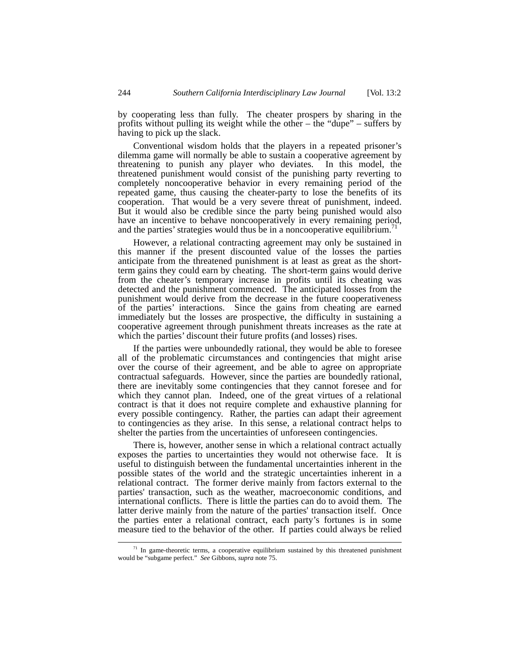by cooperating less than fully. The cheater prospers by sharing in the profits without pulling its weight while the other – the "dupe" – suffers by having to pick up the slack.

Conventional wisdom holds that the players in a repeated prisoner's dilemma game will normally be able to sustain a cooperative agreement by threatening to punish any player who deviates. In this model, the threatened punishment would consist of the punishing party reverting to completely noncooperative behavior in every remaining period of the repeated game, thus causing the cheater-party to lose the benefits of its cooperation. That would be a very severe threat of punishment, indeed. But it would also be credible since the party being punished would also have an incentive to behave noncooperatively in every remaining period, and the parties' strategies would thus be in a noncooperative equilibrium.<sup>[71](#page-17-0)</sup>

However, a relational contracting agreement may only be sustained in this manner if the present discounted value of the losses the parties anticipate from the threatened punishment is at least as great as the shortterm gains they could earn by cheating. The short-term gains would derive from the cheater's temporary increase in profits until its cheating was detected and the punishment commenced. The anticipated losses from the punishment would derive from the decrease in the future cooperativeness of the parties' interactions. Since the gains from cheating are earned immediately but the losses are prospective, the difficulty in sustaining a cooperative agreement through punishment threats increases as the rate at which the parties' discount their future profits (and losses) rises.

If the parties were unboundedly rational, they would be able to foresee all of the problematic circumstances and contingencies that might arise over the course of their agreement, and be able to agree on appropriate contractual safeguards. However, since the parties are boundedly rational, there are inevitably some contingencies that they cannot foresee and for which they cannot plan. Indeed, one of the great virtues of a relational contract is that it does not require complete and exhaustive planning for every possible contingency. Rather, the parties can adapt their agreement to contingencies as they arise. In this sense, a relational contract helps to shelter the parties from the uncertainties of unforeseen contingencies.

There is, however, another sense in which a relational contract actually exposes the parties to uncertainties they would not otherwise face. It is useful to distinguish between the fundamental uncertainties inherent in the possible states of the world and the strategic uncertainties inherent in a relational contract. The former derive mainly from factors external to the parties' transaction, such as the weather, macroeconomic conditions, and international conflicts. There is little the parties can do to avoid them. The latter derive mainly from the nature of the parties' transaction itself. Once the parties enter a relational contract, each party's fortunes is in some measure tied to the behavior of the other. If parties could always be relied

<span id="page-17-0"></span> $71$  In game-theoretic terms, a cooperative equilibrium sustained by this threatened punishment would be "subgame perfect." *See* Gibbons, *supra* note 75.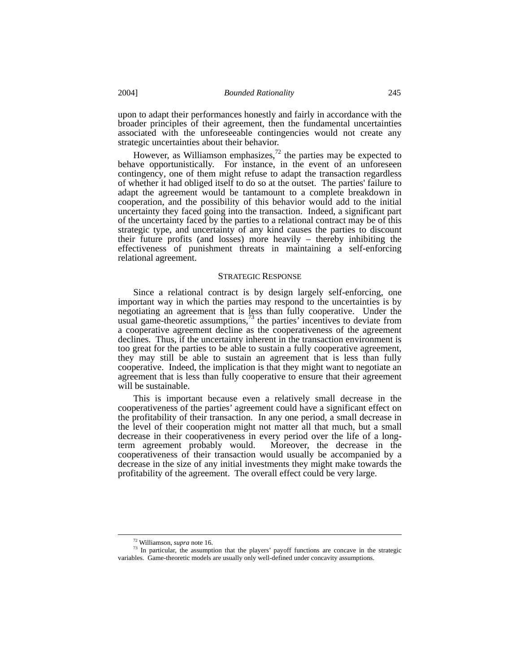upon to adapt their performances honestly and fairly in accordance with the broader principles of their agreement, then the fundamental uncertainties associated with the unforeseeable contingencies would not create any strategic uncertainties about their behavior.

However, as Williamson emphasizes,<sup>72</sup> the parties may be expected to behave opportunistically. For instance, in the event of an unforeseen contingency, one of them might refuse to adapt the transaction regardless of whether it had obliged itself to do so at the outset. The parties' failure to adapt the agreement would be tantamount to a complete breakdown in cooperation, and the possibility of this behavior would add to the initial uncertainty they faced going into the transaction. Indeed, a significant part of the uncertainty faced by the parties to a relational contract may be of this strategic type, and uncertainty of any kind causes the parties to discount their future profits (and losses) more heavily – thereby inhibiting the effectiveness of punishment threats in maintaining a self-enforcing relational agreement.

#### STRATEGIC RESPONSE

Since a relational contract is by design largely self-enforcing, one important way in which the parties may respond to the uncertainties is by negotiating an agreement that is less than fully cooperative. Under the usual game-theoretic assumptions, $7<sup>3</sup>$  the parties' incentives to deviate from a cooperative agreement decline as the cooperativeness of the agreement declines. Thus, if the uncertainty inherent in the transaction environment is too great for the parties to be able to sustain a fully cooperative agreement, they may still be able to sustain an agreement that is less than fully cooperative. Indeed, the implication is that they might want to negotiate an agreement that is less than fully cooperative to ensure that their agreement will be sustainable.

This is important because even a relatively small decrease in the cooperativeness of the parties' agreement could have a significant effect on the profitability of their transaction. In any one period, a small decrease in the level of their cooperation might not matter all that much, but a small decrease in their cooperativeness in every period over the life of a longterm agreement probably would. Moreover, the decrease in the cooperativeness of their transaction would usually be accompanied by a decrease in the size of any initial investments they might make towards the profitability of the agreement. The overall effect could be very large.

<span id="page-18-1"></span><span id="page-18-0"></span> <sup>72</sup> Williamson, *supra* note 16.

<sup>&</sup>lt;sup>73</sup> In particular, the assumption that the players' payoff functions are concave in the strategic variables. Game-theoretic models are usually only well-defined under concavity assumptions.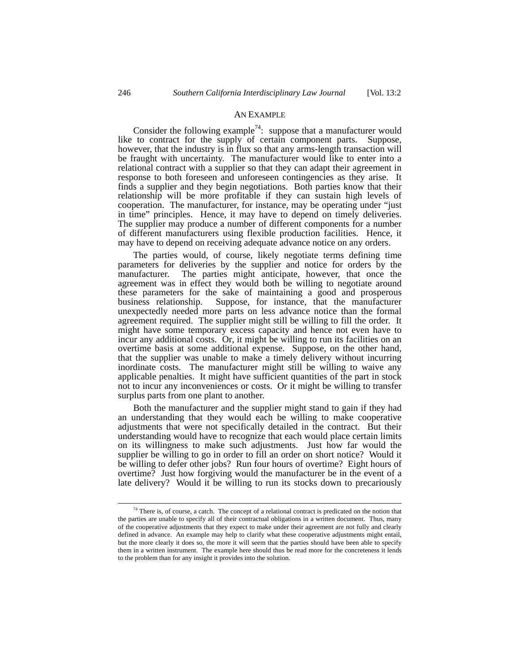#### AN EXAMPLE

Consider the following example<sup>74</sup>: suppose that a manufacturer would like to contract for the supply of certain component parts. Suppose, however, that the industry is in flux so that any arms-length transaction will be fraught with uncertainty. The manufacturer would like to enter into a relational contract with a supplier so that they can adapt their agreement in response to both foreseen and unforeseen contingencies as they arise. It finds a supplier and they begin negotiations. Both parties know that their relationship will be more profitable if they can sustain high levels of cooperation. The manufacturer, for instance, may be operating under "just in time" principles. Hence, it may have to depend on timely deliveries. The supplier may produce a number of different components for a number of different manufacturers using flexible production facilities. Hence, it may have to depend on receiving adequate advance notice on any orders.

The parties would, of course, likely negotiate terms defining time parameters for deliveries by the supplier and notice for orders by the manufacturer. The parties might anticipate, however, that once the agreement was in effect they would both be willing to negotiate around these parameters for the sake of maintaining a good and prosperous business relationship. Suppose, for instance, that the manufacturer unexpectedly needed more parts on less advance notice than the formal agreement required. The supplier might still be willing to fill the order. It might have some temporary excess capacity and hence not even have to incur any additional costs. Or, it might be willing to run its facilities on an overtime basis at some additional expense. Suppose, on the other hand, that the supplier was unable to make a timely delivery without incurring inordinate costs. The manufacturer might still be willing to waive any applicable penalties. It might have sufficient quantities of the part in stock not to incur any inconveniences or costs. Or it might be willing to transfer surplus parts from one plant to another.

Both the manufacturer and the supplier might stand to gain if they had an understanding that they would each be willing to make cooperative adjustments that were not specifically detailed in the contract. But their understanding would have to recognize that each would place certain limits on its willingness to make such adjustments. Just how far would the supplier be willing to go in order to fill an order on short notice? Would it be willing to defer other jobs? Run four hours of overtime? Eight hours of overtime? Just how forgiving would the manufacturer be in the event of a late delivery? Would it be willing to run its stocks down to precariously

<span id="page-19-0"></span> $74$  There is, of course, a catch. The concept of a relational contract is predicated on the notion that the parties are unable to specify all of their contractual obligations in a written document. Thus, many of the cooperative adjustments that they expect to make under their agreement are not fully and clearly defined in advance. An example may help to clarify what these cooperative adjustments might entail, but the more clearly it does so, the more it will seem that the parties should have been able to specify them in a written instrument. The example here should thus be read more for the concreteness it lends to the problem than for any insight it provides into the solution.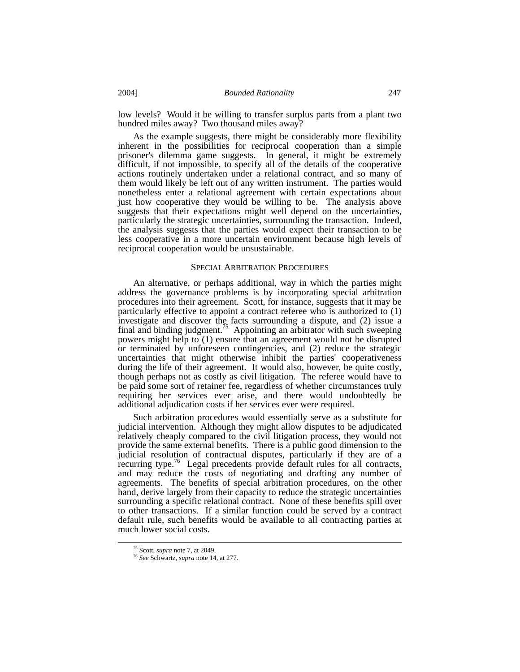low levels? Would it be willing to transfer surplus parts from a plant two hundred miles away? Two thousand miles away?

As the example suggests, there might be considerably more flexibility inherent in the possibilities for reciprocal cooperation than a simple prisoner's dilemma game suggests. In general, it might be extremely difficult, if not impossible, to specify all of the details of the cooperative actions routinely undertaken under a relational contract, and so many of them would likely be left out of any written instrument. The parties would nonetheless enter a relational agreement with certain expectations about just how cooperative they would be willing to be. The analysis above suggests that their expectations might well depend on the uncertainties, particularly the strategic uncertainties, surrounding the transaction. Indeed, the analysis suggests that the parties would expect their transaction to be less cooperative in a more uncertain environment because high levels of reciprocal cooperation would be unsustainable.

#### SPECIALARBITRATION PROCEDURES

An alternative, or perhaps additional, way in which the parties might address the governance problems is by incorporating special arbitration procedures into their agreement. Scott, for instance, suggests that it may be particularly effective to appoint a contract referee who is authorized to (1) investigate and discover the facts surrounding a dispute, and (2) issue a final and binding judgment.<sup>75</sup> Appointing an arbitrator with such sweeping powers might help to (1) ensure that an agreement would not be disrupted or terminated by unforeseen contingencies, and (2) reduce the strategic uncertainties that might otherwise inhibit the parties' cooperativeness during the life of their agreement. It would also, however, be quite costly, though perhaps not as costly as civil litigation. The referee would have to be paid some sort of retainer fee, regardless of whether circumstances truly requiring her services ever arise, and there would undoubtedly be additional adjudication costs if her services ever were required.

Such arbitration procedures would essentially serve as a substitute for judicial intervention. Although they might allow disputes to be adjudicated relatively cheaply compared to the civil litigation process, they would not provide the same external benefits. There is a public good dimension to the judicial resolution of contractual disputes, particularly if they are of a recurring type.<sup>76</sup> Legal precedents provide default rules for all contracts, and may reduce the costs of negotiating and drafting any number of agreements. The benefits of special arbitration procedures, on the other hand, derive largely from their capacity to reduce the strategic uncertainties surrounding a specific relational contract. None of these benefits spill over to other transactions. If a similar function could be served by a contract default rule, such benefits would be available to all contracting parties at much lower social costs.

<span id="page-20-0"></span> <sup>75</sup> Scott, *supra* note 7, at 2049.

<span id="page-20-1"></span><sup>76</sup> *See* Schwartz, *supra* note 14, at 277.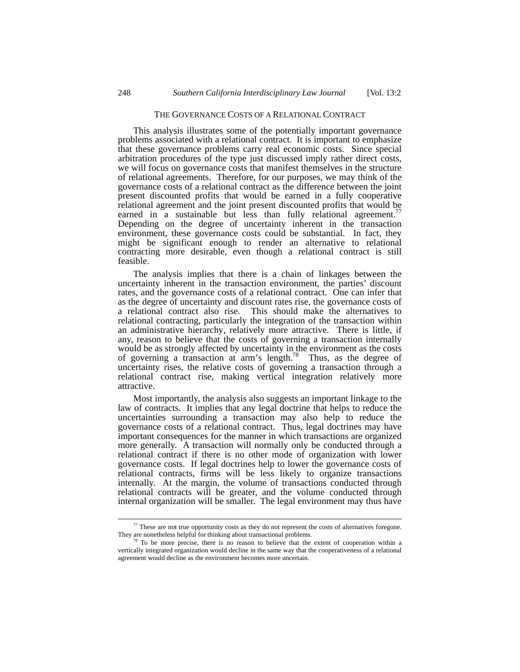# THE GOVERNANCE COSTS OF A RELATIONAL CONTRACT

This analysis illustrates some of the potentially important governance problems associated with a relational contract. It is important to emphasize that these governance problems carry real economic costs. Since special arbitration procedures of the type just discussed imply rather direct costs, we will focus on governance costs that manifest themselves in the structure of relational agreements. Therefore, for our purposes, we may think of the governance costs of a relational contract as the difference between the joint present discounted profits that would be earned in a fully cooperative relational agreement and the joint present discounted profits that would be earned in a sustainable but less than fully relational agreement.<sup>7</sup> Depending on the degree of uncertainty inherent in the transaction environment, these governance costs could be substantial. In fact, they might be significant enough to render an alternative to relational contracting more desirable, even though a relational contract is still feasible.

The analysis implies that there is a chain of linkages between the uncertainty inherent in the transaction environment, the parties' discount rates, and the governance costs of a relational contract. One can infer that as the degree of uncertainty and discount rates rise, the governance costs of a relational contract also rise. This should make the alternatives to relational contracting, particularly the integration of the transaction within an administrative hierarchy, relatively more attractive. There is little, if any, reason to believe that the costs of governing a transaction internally would be as strongly affected by uncertainty in the environment as the costs of governing a transaction at arm's length.[78](#page-21-1) Thus, as the degree of uncertainty rises, the relative costs of governing a transaction through a relational contract rise, making vertical integration relatively more attractive.

Most importantly, the analysis also suggests an important linkage to the law of contracts. It implies that any legal doctrine that helps to reduce the uncertainties surrounding a transaction may also help to reduce the governance costs of a relational contract. Thus, legal doctrines may have important consequences for the manner in which transactions are organized more generally. A transaction will normally only be conducted through a relational contract if there is no other mode of organization with lower governance costs. If legal doctrines help to lower the governance costs of relational contracts, firms will be less likely to organize transactions internally. At the margin, the volume of transactions conducted through relational contracts will be greater, and the volume conducted through internal organization will be smaller. The legal environment may thus have

<span id="page-21-0"></span> $77$  These are not true opportunity costs as they do not represent the costs of alternatives foregone. They are nonetheless helpful for thinking about transactional problems.

<span id="page-21-1"></span>To be more precise, there is no reason to believe that the extent of cooperation within a vertically integrated organization would decline in the same way that the cooperativeness of a relational agreement would decline as the environment becomes more uncertain.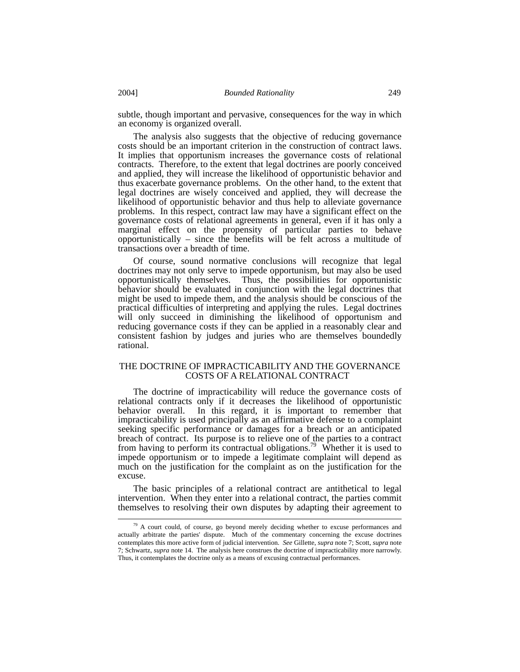subtle, though important and pervasive, consequences for the way in which an economy is organized overall.

The analysis also suggests that the objective of reducing governance costs should be an important criterion in the construction of contract laws. It implies that opportunism increases the governance costs of relational contracts. Therefore, to the extent that legal doctrines are poorly conceived and applied, they will increase the likelihood of opportunistic behavior and thus exacerbate governance problems. On the other hand, to the extent that legal doctrines are wisely conceived and applied, they will decrease the likelihood of opportunistic behavior and thus help to alleviate governance problems. In this respect, contract law may have a significant effect on the governance costs of relational agreements in general, even if it has only a marginal effect on the propensity of particular parties to behave opportunistically – since the benefits will be felt across a multitude of transactions over a breadth of time.

Of course, sound normative conclusions will recognize that legal doctrines may not only serve to impede opportunism, but may also be used opportunistically themselves. Thus, the possibilities for opportunistic behavior should be evaluated in conjunction with the legal doctrines that might be used to impede them, and the analysis should be conscious of the practical difficulties of interpreting and applying the rules. Legal doctrines will only succeed in diminishing the likelihood of opportunism and reducing governance costs if they can be applied in a reasonably clear and consistent fashion by judges and juries who are themselves boundedly rational.

## THE DOCTRINE OF IMPRACTICABILITY AND THE GOVERNANCE COSTS OF A RELATIONAL CONTRACT

The doctrine of impracticability will reduce the governance costs of relational contracts only if it decreases the likelihood of opportunistic behavior overall. In this regard, it is important to remember that impracticability is used principally as an affirmative defense to a complaint seeking specific performance or damages for a breach or an anticipated breach of contract. Its purpose is to relieve one of the parties to a contract from having to perform its contractual obligations[.79](#page-22-0) Whether it is used to impede opportunism or to impede a legitimate complaint will depend as much on the justification for the complaint as on the justification for the excuse.

The basic principles of a relational contract are antithetical to legal intervention. When they enter into a relational contract, the parties commit themselves to resolving their own disputes by adapting their agreement to

<span id="page-22-0"></span><sup>&</sup>lt;sup>79</sup> A court could, of course, go beyond merely deciding whether to excuse performances and actually arbitrate the parties' dispute. Much of the commentary concerning the excuse doctrines contemplates this more active form of judicial intervention. *See* Gillette, *supra* note 7; Scott, *supra* note 7; Schwartz, *supra* note 14. The analysis here construes the doctrine of impracticability more narrowly. Thus, it contemplates the doctrine only as a means of excusing contractual performances.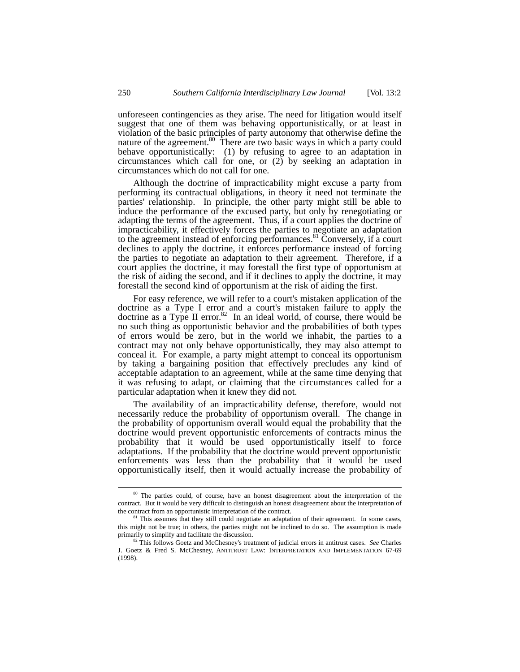unforeseen contingencies as they arise. The need for litigation would itself suggest that one of them was behaving opportunistically, or at least in violation of the basic principles of party autonomy that otherwise define the nature of the agreement.<sup>80</sup> There are two basic ways in which a party could behave opportunistically: (1) by refusing to agree to an adaptation in circumstances which call for one, or (2) by seeking an adaptation in circumstances which do not call for one.

Although the doctrine of impracticability might excuse a party from performing its contractual obligations, in theory it need not terminate the parties' relationship. In principle, the other party might still be able to induce the performance of the excused party, but only by renegotiating or adapting the terms of the agreement. Thus, if a court applies the doctrine of impracticability, it effectively forces the parties to negotiate an adaptation to the agreement instead of enforcing performances.<sup>81</sup> Conversely, if a court declines to apply the doctrine, it enforces performance instead of forcing the parties to negotiate an adaptation to their agreement. Therefore, if a court applies the doctrine, it may forestall the first type of opportunism at the risk of aiding the second, and if it declines to apply the doctrine, it may forestall the second kind of opportunism at the risk of aiding the first.

For easy reference, we will refer to a court's mistaken application of the doctrine as a Type I error and a court's mistaken failure to apply the doctrine as a Type II error.<sup>82</sup> In an ideal world, of course, there would be no such thing as opportunistic behavior and the probabilities of both types of errors would be zero, but in the world we inhabit, the parties to a contract may not only behave opportunistically, they may also attempt to conceal it. For example, a party might attempt to conceal its opportunism by taking a bargaining position that effectively precludes any kind of acceptable adaptation to an agreement, while at the same time denying that it was refusing to adapt, or claiming that the circumstances called for a particular adaptation when it knew they did not.

The availability of an impracticability defense, therefore, would not necessarily reduce the probability of opportunism overall. The change in the probability of opportunism overall would equal the probability that the doctrine would prevent opportunistic enforcements of contracts minus the probability that it would be used opportunistically itself to force adaptations. If the probability that the doctrine would prevent opportunistic enforcements was less than the probability that it would be used opportunistically itself, then it would actually increase the probability of

<span id="page-23-0"></span><sup>&</sup>lt;sup>80</sup> The parties could, of course, have an honest disagreement about the interpretation of the contract. But it would be very difficult to distinguish an honest disagreement about the interpretation of the contract from an opportunistic interpretation of the contract.

<span id="page-23-1"></span><sup>&</sup>lt;sup>81</sup> This assumes that they still could negotiate an adaptation of their agreement. In some cases, this might not be true; in others, the parties might not be inclined to do so. The assumption is made primarily to simplify and facilitate the discussion. 82 This follows Goetz and McChesney's treatment of judicial errors in antitrust cases. *See* Charles

<span id="page-23-2"></span>J. Goetz & Fred S. McChesney, ANTITRUST LAW: INTERPRETATION AND IMPLEMENTATION 67-69 (1998).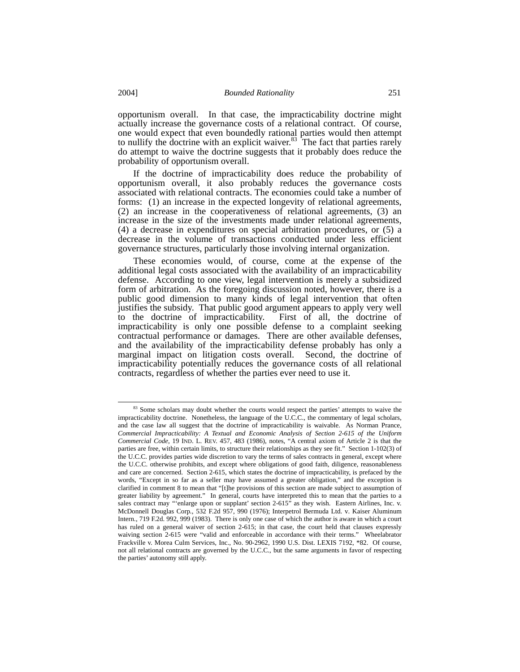opportunism overall. In that case, the impracticability doctrine might actually increase the governance costs of a relational contract. Of course, one would expect that even boundedly rational parties would then attempt to nullify the doctrine with an explicit waiver. $83$  The fact that parties rarely do attempt to waive the doctrine suggests that it probably does reduce the probability of opportunism overall.

If the doctrine of impracticability does reduce the probability of opportunism overall, it also probably reduces the governance costs associated with relational contracts. The economies could take a number of forms: (1) an increase in the expected longevity of relational agreements, (2) an increase in the cooperativeness of relational agreements, (3) an increase in the size of the investments made under relational agreements, (4) a decrease in expenditures on special arbitration procedures, or (5) a decrease in the volume of transactions conducted under less efficient governance structures, particularly those involving internal organization.

These economies would, of course, come at the expense of the additional legal costs associated with the availability of an impracticability defense. According to one view, legal intervention is merely a subsidized form of arbitration. As the foregoing discussion noted, however, there is a public good dimension to many kinds of legal intervention that often justifies the subsidy. That public good argument appears to apply very well to the doctrine of impracticability. First of all, the doctrine of impracticability is only one possible defense to a complaint seeking contractual performance or damages. There are other available defenses, and the availability of the impracticability defense probably has only a marginal impact on litigation costs overall. Second, the doctrine of impracticability potentially reduces the governance costs of all relational contracts, regardless of whether the parties ever need to use it.

<span id="page-24-0"></span><sup>83</sup> Some scholars may doubt whether the courts would respect the parties' attempts to waive the impracticability doctrine. Nonetheless, the language of the U.C.C., the commentary of legal scholars, and the case law all suggest that the doctrine of impracticability is waivable. As Norman Prance, *Commercial Impracticability: A Textual and Economic Analysis of Section 2-615 of the Uniform Commercial Code*, 19 IND. L. REV. 457, 483 (1986), notes, "A central axiom of Article 2 is that the parties are free, within certain limits, to structure their relationships as they see fit." Section 1-102(3) of the U.C.C. provides parties wide discretion to vary the terms of sales contracts in general, except where the U.C.C. otherwise prohibits, and except where obligations of good faith, diligence, reasonableness and care are concerned. Section 2-615, which states the doctrine of impracticability, is prefaced by the words, "Except in so far as a seller may have assumed a greater obligation," and the exception is clarified in comment 8 to mean that "[t]he provisions of this section are made subject to assumption of greater liability by agreement." In general, courts have interpreted this to mean that the parties to a sales contract may "'enlarge upon or supplant' section 2-615" as they wish. Eastern Airlines, Inc. v. McDonnell Douglas Corp*.*, 532 F.2d 957, 990 (1976); Interpetrol Bermuda Ltd. v. Kaiser Aluminum Intern*.*, 719 F.2d. 992, 999 (1983). There is only one case of which the author is aware in which a court has ruled on a general waiver of section 2-615; in that case, the court held that clauses expressly waiving section 2-615 were "valid and enforceable in accordance with their terms." Wheelabrator Frackville v. Morea Culm Services, Inc., No. 90-2962, 1990 U.S. Dist. LEXIS 7192, \*82. Of course, not all relational contracts are governed by the U.C.C., but the same arguments in favor of respecting the parties' autonomy still apply.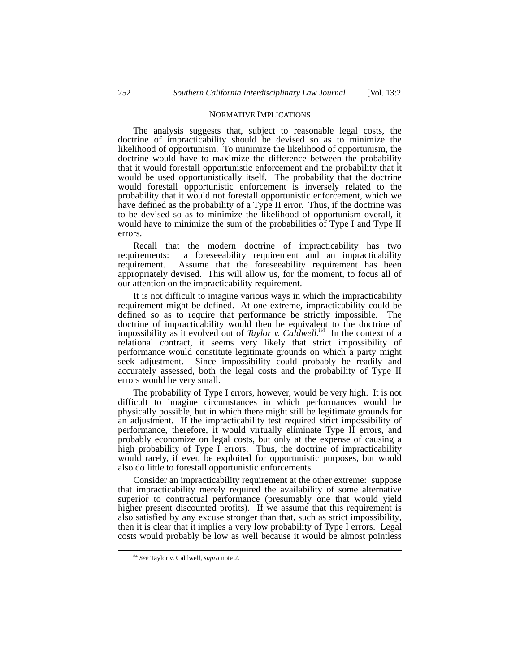#### NORMATIVE IMPLICATIONS

The analysis suggests that, subject to reasonable legal costs, the doctrine of impracticability should be devised so as to minimize the likelihood of opportunism. To minimize the likelihood of opportunism, the doctrine would have to maximize the difference between the probability that it would forestall opportunistic enforcement and the probability that it would be used opportunistically itself. The probability that the doctrine would forestall opportunistic enforcement is inversely related to the probability that it would not forestall opportunistic enforcement, which we have defined as the probability of a Type II error. Thus, if the doctrine was to be devised so as to minimize the likelihood of opportunism overall, it would have to minimize the sum of the probabilities of Type I and Type II errors.

Recall that the modern doctrine of impracticability has two requirements: a foreseeability requirement and an impracticability requirement. Assume that the foreseeability requirement has been Assume that the foreseeability requirement has been appropriately devised. This will allow us, for the moment, to focus all of our attention on the impracticability requirement.

It is not difficult to imagine various ways in which the impracticability requirement might be defined. At one extreme, impracticability could be defined so as to require that performance be strictly impossible. The doctrine of impracticability would then be equivalent to the doctrine of impossibility as it evolved out of *Taylor v. Caldwell*. [84](#page-25-0) In the context of a relational contract, it seems very likely that strict impossibility of performance would constitute legitimate grounds on which a party might seek adjustment. Since impossibility could probably be readily and accurately assessed, both the legal costs and the probability of Type II errors would be very small.

The probability of Type I errors, however, would be very high. It is not difficult to imagine circumstances in which performances would be physically possible, but in which there might still be legitimate grounds for an adjustment. If the impracticability test required strict impossibility of performance, therefore, it would virtually eliminate Type II errors, and probably economize on legal costs, but only at the expense of causing a high probability of Type I errors. Thus, the doctrine of impracticability would rarely, if ever, be exploited for opportunistic purposes, but would also do little to forestall opportunistic enforcements.

Consider an impracticability requirement at the other extreme: suppose that impracticability merely required the availability of some alternative superior to contractual performance (presumably one that would yield higher present discounted profits). If we assume that this requirement is also satisfied by any excuse stronger than that, such as strict impossibility, then it is clear that it implies a very low probability of Type I errors. Legal costs would probably be low as well because it would be almost pointless

<span id="page-25-0"></span> <sup>84</sup> *See* Taylor v. Caldwell, *supra* note 2.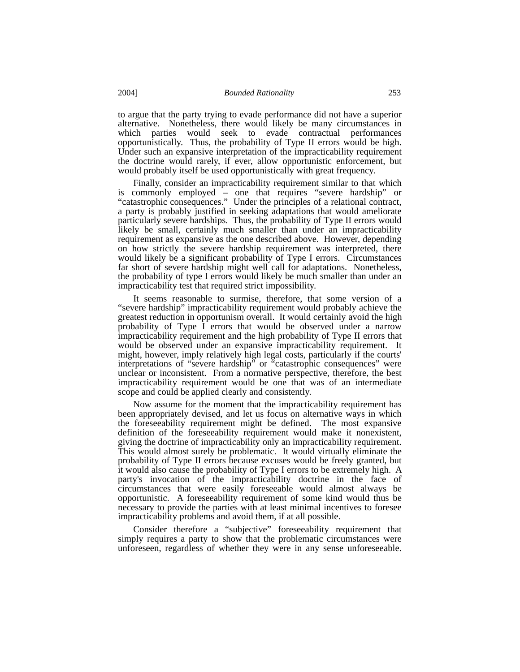to argue that the party trying to evade performance did not have a superior alternative. Nonetheless, there would likely be many circumstances in which parties would seek to evade contractual performances opportunistically. Thus, the probability of Type II errors would be high. Under such an expansive interpretation of the impracticability requirement the doctrine would rarely, if ever, allow opportunistic enforcement, but would probably itself be used opportunistically with great frequency.

Finally, consider an impracticability requirement similar to that which is commonly employed – one that requires "severe hardship" or "catastrophic consequences." Under the principles of a relational contract, a party is probably justified in seeking adaptations that would ameliorate particularly severe hardships. Thus, the probability of Type II errors would likely be small, certainly much smaller than under an impracticability requirement as expansive as the one described above. However, depending on how strictly the severe hardship requirement was interpreted, there would likely be a significant probability of Type I errors. Circumstances far short of severe hardship might well call for adaptations. Nonetheless, the probability of type I errors would likely be much smaller than under an impracticability test that required strict impossibility.

It seems reasonable to surmise, therefore, that some version of a "severe hardship" impracticability requirement would probably achieve the greatest reduction in opportunism overall. It would certainly avoid the high probability of Type I errors that would be observed under a narrow impracticability requirement and the high probability of Type II errors that would be observed under an expansive impracticability requirement. It might, however, imply relatively high legal costs, particularly if the courts' interpretations of "severe hardship" or "catastrophic consequences" were unclear or inconsistent. From a normative perspective, therefore, the best impracticability requirement would be one that was of an intermediate scope and could be applied clearly and consistently.

Now assume for the moment that the impracticability requirement has been appropriately devised, and let us focus on alternative ways in which the foreseeability requirement might be defined. The most expansive definition of the foreseeability requirement would make it nonexistent, giving the doctrine of impracticability only an impracticability requirement. This would almost surely be problematic. It would virtually eliminate the probability of Type II errors because excuses would be freely granted, but it would also cause the probability of Type I errors to be extremely high. A party's invocation of the impracticability doctrine in the face of circumstances that were easily foreseeable would almost always be opportunistic. A foreseeability requirement of some kind would thus be necessary to provide the parties with at least minimal incentives to foresee impracticability problems and avoid them, if at all possible.

Consider therefore a "subjective" foreseeability requirement that simply requires a party to show that the problematic circumstances were unforeseen, regardless of whether they were in any sense unforeseeable.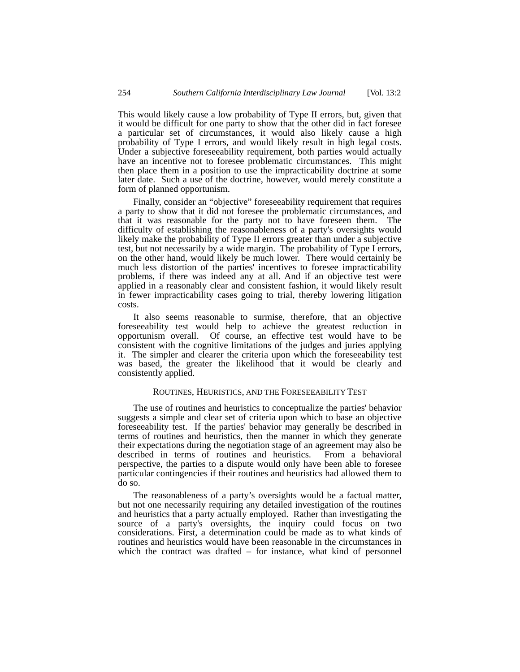This would likely cause a low probability of Type II errors, but, given that it would be difficult for one party to show that the other did in fact foresee a particular set of circumstances, it would also likely cause a high probability of Type I errors, and would likely result in high legal costs. Under a subjective foreseeability requirement, both parties would actually have an incentive not to foresee problematic circumstances. This might then place them in a position to use the impracticability doctrine at some later date. Such a use of the doctrine, however, would merely constitute a form of planned opportunism.

Finally, consider an "objective" foreseeability requirement that requires a party to show that it did not foresee the problematic circumstances, and that it was reasonable for the party not to have foreseen them. The difficulty of establishing the reasonableness of a party's oversights would likely make the probability of Type II errors greater than under a subjective test, but not necessarily by a wide margin. The probability of Type I errors, on the other hand, would likely be much lower. There would certainly be much less distortion of the parties' incentives to foresee impracticability problems, if there was indeed any at all. And if an objective test were applied in a reasonably clear and consistent fashion, it would likely result in fewer impracticability cases going to trial, thereby lowering litigation costs.

It also seems reasonable to surmise, therefore, that an objective foreseeability test would help to achieve the greatest reduction in opportunism overall. Of course, an effective test would have to be consistent with the cognitive limitations of the judges and juries applying it. The simpler and clearer the criteria upon which the foreseeability test was based, the greater the likelihood that it would be clearly and consistently applied.

# ROUTINES, HEURISTICS, AND THE FORESEEABILITY TEST

The use of routines and heuristics to conceptualize the parties' behavior suggests a simple and clear set of criteria upon which to base an objective foreseeability test. If the parties' behavior may generally be described in terms of routines and heuristics, then the manner in which they generate their expectations during the negotiation stage of an agreement may also be described in terms of routines and heuristics. From a behavioral perspective, the parties to a dispute would only have been able to foresee particular contingencies if their routines and heuristics had allowed them to do so.

The reasonableness of a party's oversights would be a factual matter, but not one necessarily requiring any detailed investigation of the routines and heuristics that a party actually employed. Rather than investigating the source of a party's oversights, the inquiry could focus on two considerations. First, a determination could be made as to what kinds of routines and heuristics would have been reasonable in the circumstances in which the contract was drafted – for instance, what kind of personnel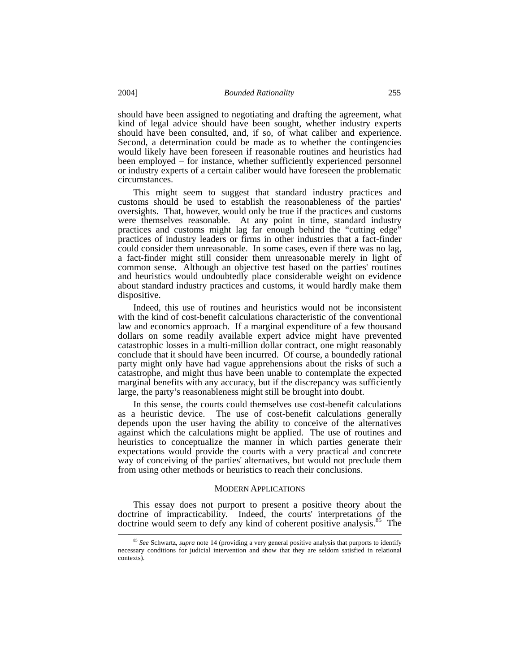should have been assigned to negotiating and drafting the agreement, what kind of legal advice should have been sought, whether industry experts should have been consulted, and, if so, of what caliber and experience. Second, a determination could be made as to whether the contingencies would likely have been foreseen if reasonable routines and heuristics had been employed – for instance, whether sufficiently experienced personnel or industry experts of a certain caliber would have foreseen the problematic circumstances.

This might seem to suggest that standard industry practices and customs should be used to establish the reasonableness of the parties' oversights. That, however, would only be true if the practices and customs were themselves reasonable. At any point in time, standard industry practices and customs might lag far enough behind the "cutting edge" practices of industry leaders or firms in other industries that a fact-finder could consider them unreasonable. In some cases, even if there was no lag, a fact-finder might still consider them unreasonable merely in light of common sense. Although an objective test based on the parties' routines and heuristics would undoubtedly place considerable weight on evidence about standard industry practices and customs, it would hardly make them dispositive.

Indeed, this use of routines and heuristics would not be inconsistent with the kind of cost-benefit calculations characteristic of the conventional law and economics approach. If a marginal expenditure of a few thousand dollars on some readily available expert advice might have prevented catastrophic losses in a multi-million dollar contract, one might reasonably conclude that it should have been incurred. Of course, a boundedly rational party might only have had vague apprehensions about the risks of such a catastrophe, and might thus have been unable to contemplate the expected marginal benefits with any accuracy, but if the discrepancy was sufficiently large, the party's reasonableness might still be brought into doubt.

In this sense, the courts could themselves use cost-benefit calculations as a heuristic device. The use of cost-benefit calculations generally depends upon the user having the ability to conceive of the alternatives against which the calculations might be applied. The use of routines and heuristics to conceptualize the manner in which parties generate their expectations would provide the courts with a very practical and concrete way of conceiving of the parties' alternatives, but would not preclude them from using other methods or heuristics to reach their conclusions.

## MODERN APPLICATIONS

This essay does not purport to present a positive theory about the doctrine of impracticability. Indeed, the courts' interpretations of the doctrine would seem to defy any kind of coherent positive analysis.<sup>85</sup> The

<span id="page-28-0"></span> <sup>85</sup> *See* Schwartz, *supra* note 14 (providing a very general positive analysis that purports to identify necessary conditions for judicial intervention and show that they are seldom satisfied in relational contexts).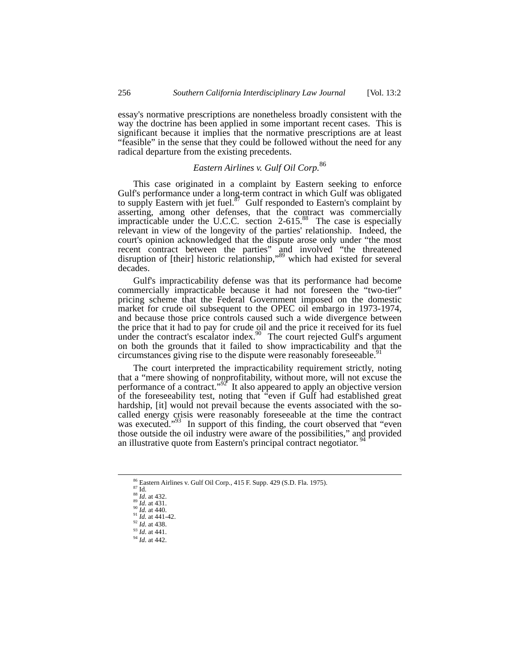essay's normative prescriptions are nonetheless broadly consistent with the way the doctrine has been applied in some important recent cases. This is significant because it implies that the normative prescriptions are at least "feasible" in the sense that they could be followed without the need for any radical departure from the existing precedents.

# *Eastern Airlines v. Gulf Oil Corp.*[86](#page-29-0)

This case originated in a complaint by Eastern seeking to enforce Gulf's performance under a long-term contract in which Gulf was obligated to supply Eastern with jet fuel.<sup>87</sup> Gulf responded to Eastern's complaint by asserting, among other defenses, that the contract was commercially impracticable under the U.C.C. section 2-615.<sup>88</sup> The case is especially relevant in view of the longevity of the parties' relationship. Indeed, the court's opinion acknowledged that the dispute arose only under "the most recent contract between the parties" and involved "the threatened disruption of [their] historic relationship,"<sup>89</sup> which had existed for several decades.

Gulf's impracticability defense was that its performance had become commercially impracticable because it had not foreseen the "two-tier" pricing scheme that the Federal Government imposed on the domestic market for crude oil subsequent to the OPEC oil embargo in 1973-1974, and because those price controls caused such a wide divergence between the price that it had to pay for crude oil and the price it received for its fuel under the contract's escalator index. $90$  The court rejected Gulf's argument on both the grounds that it failed to show impracticability and that the circumstances giving rise to the dispute were reasonably foreseeable.<sup>[91](#page-29-5)</sup>

The court interpreted the impracticability requirement strictly, noting that a "mere showing of nonprofitability, without more, will not excuse the performance of a contract." $92$  It also appeared to apply an objective version of the foreseeability test, noting that "even if Gulf had established great hardship, [it] would not prevail because the events associated with the socalled energy crisis were reasonably foreseeable at the time the contract was executed."<sup>93</sup> In support of this finding, the court observed that "even those outside the oil industry were aware of the possibilities," and provided an illustrative quote from Eastern's principal contract negotiator.<sup>[94](#page-29-8)</sup>

<span id="page-29-0"></span><sup>86</sup> Eastern Airlines v. Gulf Oil Corp., 415 F. Supp. 429 (S.D. Fla. 1975).<br>
87 Id.<br>
88 *Id.* at 432.<br>
89 *Id.* at 441.<br>
90 *Id.* at 440.<br>
91 *Id.* at 441-42.<br>
92 *Id.* at 438.

<span id="page-29-2"></span><span id="page-29-1"></span>

<span id="page-29-3"></span>

<span id="page-29-4"></span>

<span id="page-29-5"></span>

<span id="page-29-6"></span>

<span id="page-29-7"></span><sup>93</sup> *Id*. at 441.

<span id="page-29-8"></span><sup>94</sup> *Id*. at 442.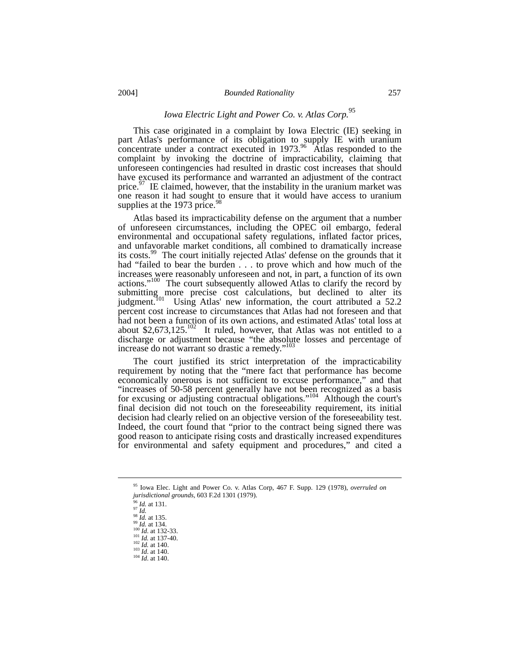# *Iowa Electric Light and Power Co. v. Atlas Corp.*[95](#page-30-0)

This case originated in a complaint by Iowa Electric (IE) seeking in part Atlas's performance of its obligation to supply IE with uranium concentrate under a contract executed in  $1973.96$  Atlas responded to the complaint by invoking the doctrine of impracticability, claiming that unforeseen contingencies had resulted in drastic cost increases that should have excused its performance and warranted an adjustment of the contract price.<sup>97</sup> IE claimed, however, that the instability in the uranium market was one reason it had sought to ensure that it would have access to uranium supplies at the 1973 price.<sup>[98](#page-30-3)</sup>

Atlas based its impracticability defense on the argument that a number of unforeseen circumstances, including the OPEC oil embargo, federal environmental and occupational safety regulations, inflated factor prices, and unfavorable market conditions, all combined to dramatically increase its costs.[99](#page-30-4) The court initially rejected Atlas' defense on the grounds that it had "failed to bear the burden . . . to prove which and how much of the increases were reasonably unforeseen and not, in part, a function of its own actions."<sup>100</sup> The court subsequently allowed Atlas to clarify the record by submitting more precise cost calculations, but declined to alter its judgment.<sup>101</sup> Using Atlas' new information, the court attributed a 52.2 percent cost increase to circumstances that Atlas had not foreseen and that had not been a function of its own actions, and estimated Atlas' total loss at about \$2,673,125.<sup>[102](#page-30-7)</sup> It ruled, however, that Atlas was not entitled to a discharge or adjustment because "the absolute losses and percentage of increase do not warrant so drastic a remedy."[103](#page-30-8)

The court justified its strict interpretation of the impracticability requirement by noting that the "mere fact that performance has become economically onerous is not sufficient to excuse performance," and that "increases of 50-58 percent generally have not been recognized as a basis for excusing or adjusting contractual obligations."<sup>104</sup> Although the court's final decision did not touch on the foreseeability requirement, its initial decision had clearly relied on an objective version of the foreseeability test. Indeed, the court found that "prior to the contract being signed there was good reason to anticipate rising costs and drastically increased expenditures for environmental and safety equipment and procedures," and cited a

<span id="page-30-0"></span> <sup>95</sup> Iowa Elec. Light and Power Co. v. Atlas Corp, 467 F. Supp. 129 (1978), *overruled on jurisdictional grounds*, 603 F.2d 1301 (1979).

<span id="page-30-1"></span>

<span id="page-30-2"></span>

<span id="page-30-3"></span>

<span id="page-30-5"></span><span id="page-30-4"></span>

<sup>96</sup> *Id.* at 131.<br><sup>99</sup> *Id.* at 135.<br><sup>99</sup> *Id.* at 135.<br><sup>100</sup> *Id.* at 132-33.<br><sup>102</sup> *Id.* at 137-40.<br><sup>102</sup> *Id.* at 140.<br><sup>103</sup> *Id.* at 140.<br><sup>104</sup> *Id.* at 140.

<span id="page-30-7"></span><span id="page-30-6"></span>

<span id="page-30-9"></span><span id="page-30-8"></span>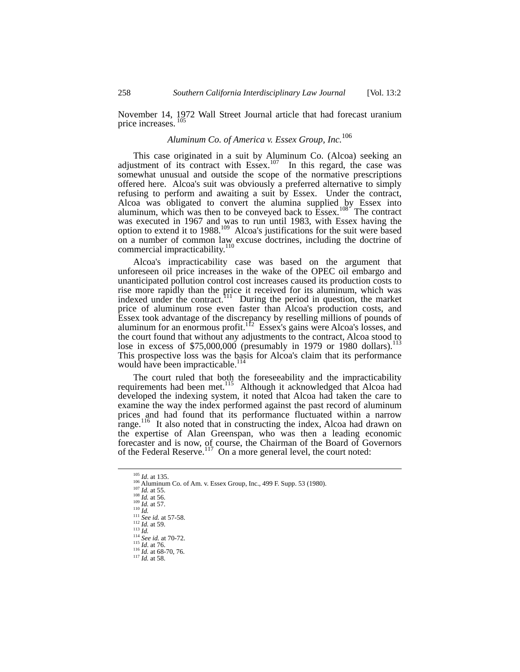November 14, 1972 Wall Street Journal article that had forecast uranium price increases.<sup>[105](#page-31-0)</sup>

# *Aluminum Co. of America v. Essex Group, Inc.*[106](#page-31-1)

This case originated in a suit by Aluminum Co. (Alcoa) seeking an adjustment of its contract with  $Essex.<sup>107</sup>$  In this regard, the case was somewhat unusual and outside the scope of the normative prescriptions offered here. Alcoa's suit was obviously a preferred alternative to simply refusing to perform and awaiting a suit by Essex. Under the contract, Alcoa was obligated to convert the alumina supplied by Essex into aluminum, which was then to be conveyed back to  $\text{Esses.}^{108}$  The contract was executed in 1967 and was to run until 1983, with Essex having the option to extend it to 1988. [109](#page-31-4) Alcoa's justifications for the suit were based on a number of common law excuse doctrines, including the doctrine of commercial impracticability.<sup>[110](#page-31-5)</sup>

Alcoa's impracticability case was based on the argument that unforeseen oil price increases in the wake of the OPEC oil embargo and unanticipated pollution control cost increases caused its production costs to rise more rapidly than the price it received for its aluminum, which was indexed under the contract.<sup>111</sup> During the period in question, the market price of aluminum rose even faster than Alcoa's production costs, and Essex took advantage of the discrepancy by reselling millions of pounds of aluminum for an enormous profit.<sup>112</sup> Essex's gains were Alcoa's losses, and the court found that without any adjustments to the contract, Alcoa stood to lose in excess of \$75,000,000 (presumably in 1979 or 1980 dollars).<sup>1</sup> This prospective loss was the basis for Alcoa's claim that its performance would have been impracticable.<sup>[114](#page-31-9)</sup>

The court ruled that both the foreseeability and the impracticability requirements had been met.<sup>115</sup> Although it acknowledged that Alcoa had developed the indexing system, it noted that Alcoa had taken the care to examine the way the index performed against the past record of aluminum prices and had found that its performance fluctuated within a narrow range.<sup>116</sup> It also noted that in constructing the index, Alcoa had drawn on the expertise of Alan Greenspan, who was then a leading economic forecaster and is now, of course, the Chairman of the Board of Governors of the Federal Reserve.<sup>117</sup> On a more general level, the court noted:

<span id="page-31-10"></span>

<span id="page-31-1"></span><span id="page-31-0"></span>

<sup>&</sup>lt;sup>105</sup> *Id.* at 135.<br>
<sup>106</sup> Aluminum Co. of Am. v. Essex Group, Inc., 499 F. Supp. 53 (1980).<br>
<sup>107</sup> *Id.* at 55.<br>
<sup>108</sup> *Id.* at 56.<br>
<sup>109</sup> *Id.* at 57.<br>
<sup>110</sup> *Id.* at 57.<br>
<sup>111</sup> *See id.* at 57-58.<br>
<sup>112</sup> *Id.* at 59.<br>

<span id="page-31-2"></span>

<span id="page-31-4"></span><span id="page-31-3"></span>

<span id="page-31-5"></span>

<span id="page-31-6"></span>

<span id="page-31-7"></span>

<span id="page-31-9"></span><span id="page-31-8"></span>

<span id="page-31-12"></span><span id="page-31-11"></span>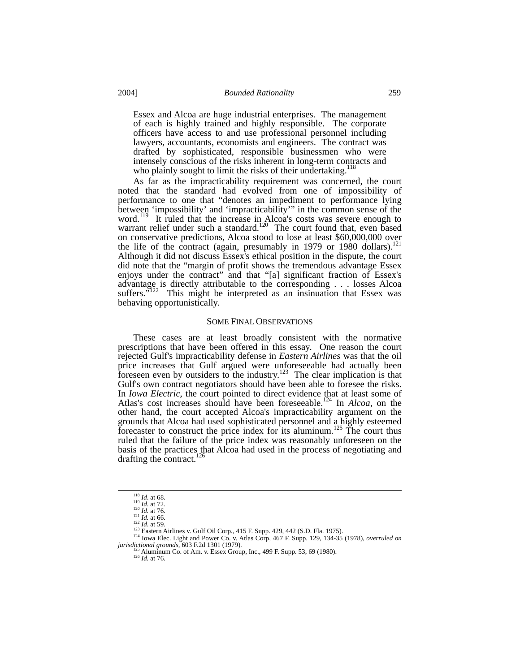Essex and Alcoa are huge industrial enterprises. The management of each is highly trained and highly responsible. The corporate officers have access to and use professional personnel including lawyers, accountants, economists and engineers. The contract was drafted by sophisticated, responsible businessmen who were intensely conscious of the risks inherent in long-term contracts and who plainly sought to limit the risks of their undertaking.<sup>[118](#page-32-0)</sup>

As far as the impracticability requirement was concerned, the court noted that the standard had evolved from one of impossibility of performance to one that "denotes an impediment to performance lying between 'impossibility' and 'impracticability'" in the common sense of the word.<sup>119</sup> It ruled that the increase in Alcoa's costs was severe enough to warrant relief under such a standard.<sup>120</sup> The court found that, even based on conservative predictions, Alcoa stood to lose at least \$60,000,000 over the life of the contract (again, presumably in 1979 or 1980 dollars).<sup>121</sup> Although it did not discuss Essex's ethical position in the dispute, the court did note that the "margin of profit shows the tremendous advantage Essex enjoys under the contract" and that "[a] significant fraction of Essex's advantage is directly attributable to the corresponding . . . losses Alcoa suffers.<sup>5122</sup> This might be interpreted as an insinuation that Essex was behaving opportunistically.

#### SOME FINAL OBSERVATIONS

These cases are at least broadly consistent with the normative prescriptions that have been offered in this essay. One reason the court rejected Gulf's impracticability defense in *Eastern Airlines* was that the oil price increases that Gulf argued were unforeseeable had actually been foreseen even by outsiders to the industry.<sup>123</sup> The clear implication is that Gulf's own contract negotiators should have been able to foresee the risks. In *Iowa Electric*, the court pointed to direct evidence that at least some of Atlas's cost increases should have been foreseeable. [124](#page-32-6) In *Alcoa*, on the other hand, the court accepted Alcoa's impracticability argument on the grounds that Alcoa had used sophisticated personnel and a highly esteemed forecaster to construct the price index for its aluminum.<sup>[125](#page-32-7)</sup> The court thus ruled that the failure of the price index was reasonably unforeseen on the basis of the practices that Alcoa had used in the process of negotiating and drafting the contract.<sup>[126](#page-32-8)</sup>

<span id="page-32-0"></span>

<span id="page-32-1"></span>

<span id="page-32-2"></span>

<span id="page-32-3"></span>

<span id="page-32-6"></span><span id="page-32-5"></span><span id="page-32-4"></span>

<sup>&</sup>lt;sup>118</sup> *Id.* at 68.<br>
<sup>119</sup> *Id.* at 72.<br>
<sup>121</sup> *Id.* at 76.<br>
<sup>121</sup> *Id.* at 66.<br>
<sup>121</sup> *Id.* at 66.<br>
<sup>121</sup> *Id.* at 66.<br>
<sup>121</sup> Ig. at 69.<br>
<sup>123</sup> Eastern Airlines v. Gulf Oil Corp., 415 F. Supp. 429, 442 (S.D. Fla. 1975).<br>

<span id="page-32-8"></span><span id="page-32-7"></span>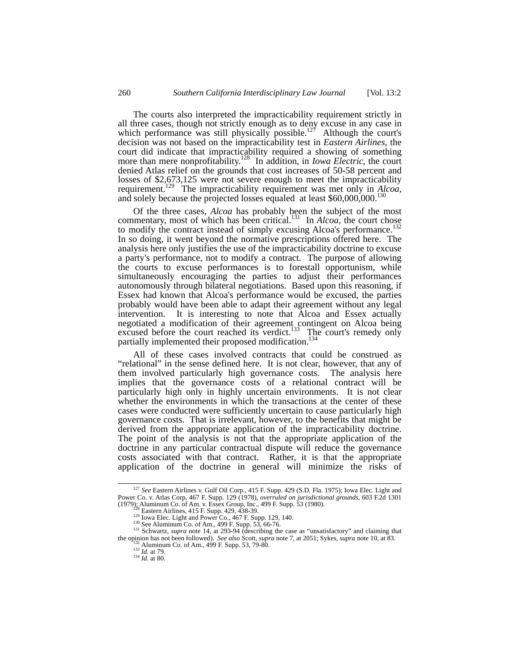The courts also interpreted the impracticability requirement strictly in all three cases, though not strictly enough as to deny excuse in any case in which performance was still physically possible.<sup>127</sup> Although the court's decision was not based on the impracticability test in *Eastern Airlines*, the court did indicate that impracticability required a showing of something more than mere nonprofitability. [128](#page-33-1) In addition, in *Iowa Electric*, the court denied Atlas relief on the grounds that cost increases of 50-58 percent and losses of \$2,673,125 were not severe enough to meet the impracticability requirement.<sup>129</sup> The impracticability requirement was met only in *Alcoa*, and solely because the projected losses equaled at least \$60,000,000.<sup>130</sup>

Of the three cases, *Alcoa* has probably been the subject of the most commentary, most of which has been critical.<sup>131</sup> In *Alcoa*, the court chose to modify the contract instead of simply excusing Alcoa's performance.<sup>132</sup> In so doing, it went beyond the normative prescriptions offered here. The analysis here only justifies the use of the impracticability doctrine to excuse a party's performance, not to modify a contract. The purpose of allowing the courts to excuse performances is to forestall opportunism, while simultaneously encouraging the parties to adjust their performances autonomously through bilateral negotiations. Based upon this reasoning, if Essex had known that Alcoa's performance would be excused, the parties probably would have been able to adapt their agreement without any legal intervention. It is interesting to note that Alcoa and Essex actually negotiated a modification of their agreement contingent on Alcoa being excused before the court reached its verdict.<sup>133</sup> The court's remedy only partially implemented their proposed modification.<sup>13</sup>

All of these cases involved contracts that could be construed as "relational" in the sense defined here. It is not clear, however, that any of them involved particularly high governance costs. The analysis here implies that the governance costs of a relational contract will be particularly high only in highly uncertain environments. It is not clear whether the environments in which the transactions at the center of these cases were conducted were sufficiently uncertain to cause particularly high governance costs. That is irrelevant, however, to the benefits that might be derived from the appropriate application of the impracticability doctrine. The point of the analysis is not that the appropriate application of the doctrine in any particular contractual dispute will reduce the governance costs associated with that contract. Rather, it is that the appropriate application of the doctrine in general will minimize the risks of

 <sup>127</sup> *See* Eastern Airlines v. Gulf Oil Corp*.,* 415 F. Supp. 429 (S.D. Fla. 1975); Iowa Elec. Light and Power Co. v. Atlas Corp, 467 F. Supp. 129 (1978), *overruled on jurisdictional grounds*, 603 F.2d 1301

<span id="page-33-1"></span><span id="page-33-0"></span>

<span id="page-33-2"></span>

<span id="page-33-4"></span><span id="page-33-3"></span>

<sup>&</sup>lt;sup>129</sup> Lowa Elec. Light and Power Co., 467 F. Supp. 129, 140.<br><sup>130</sup> See Aluminum Co. of Am., 499 F. Supp. 53, 66-76.<br><sup>131</sup> Schwartz, *supra* note 14, at 293-94 (describing the case as "unsatisfactory" and claiming that<br>the

<span id="page-33-5"></span>the opinion has note of Am., 499 F. Supp. 53, 79-80.<br><sup>133</sup> *Id.* at 79.<br><sup>134</sup> *Id.* at 80.

<span id="page-33-6"></span>

<span id="page-33-7"></span>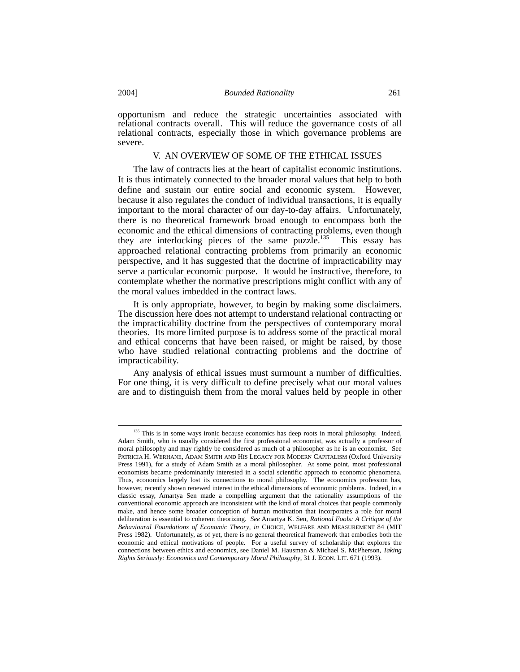opportunism and reduce the strategic uncertainties associated with relational contracts overall. This will reduce the governance costs of all relational contracts, especially those in which governance problems are severe.

# V. AN OVERVIEW OF SOME OF THE ETHICAL ISSUES

The law of contracts lies at the heart of capitalist economic institutions. It is thus intimately connected to the broader moral values that help to both define and sustain our entire social and economic system. However, because it also regulates the conduct of individual transactions, it is equally important to the moral character of our day-to-day affairs. Unfortunately, there is no theoretical framework broad enough to encompass both the economic and the ethical dimensions of contracting problems, even though they are interlocking pieces of the same puzzle.<sup>135</sup> This essay has approached relational contracting problems from primarily an economic perspective, and it has suggested that the doctrine of impracticability may serve a particular economic purpose. It would be instructive, therefore, to contemplate whether the normative prescriptions might conflict with any of the moral values imbedded in the contract laws.

It is only appropriate, however, to begin by making some disclaimers. The discussion here does not attempt to understand relational contracting or the impracticability doctrine from the perspectives of contemporary moral theories. Its more limited purpose is to address some of the practical moral and ethical concerns that have been raised, or might be raised, by those who have studied relational contracting problems and the doctrine of impracticability.

Any analysis of ethical issues must surmount a number of difficulties. For one thing, it is very difficult to define precisely what our moral values are and to distinguish them from the moral values held by people in other

<span id="page-34-0"></span><sup>&</sup>lt;sup>135</sup> This is in some ways ironic because economics has deep roots in moral philosophy. Indeed, Adam Smith, who is usually considered the first professional economist, was actually a professor of moral philosophy and may rightly be considered as much of a philosopher as he is an economist. See PATRICIA H. WERHANE, ADAM SMITH AND HIS LEGACY FOR MODERN CAPITALISM (Oxford University Press 1991), for a study of Adam Smith as a moral philosopher. At some point, most professional economists became predominantly interested in a social scientific approach to economic phenomena. Thus, economics largely lost its connections to moral philosophy. The economics profession has, however, recently shown renewed interest in the ethical dimensions of economic problems. Indeed, in a classic essay, Amartya Sen made a compelling argument that the rationality assumptions of the conventional economic approach are inconsistent with the kind of moral choices that people commonly make, and hence some broader conception of human motivation that incorporates a role for moral deliberation is essential to coherent theorizing. *See* Amartya K. Sen, *Rational Fools: A Critique of the Behavioural Foundations of Economic Theory*, *in* CHOICE, WELFARE AND MEASUREMENT 84 (MIT Press 1982). Unfortunately, as of yet, there is no general theoretical framework that embodies both the economic and ethical motivations of people. For a useful survey of scholarship that explores the connections between ethics and economics, see Daniel M. Hausman & Michael S. McPherson, *Taking Rights Seriously: Economics and Contemporary Moral Philosophy*, 31 J. ECON. LIT. 671 (1993).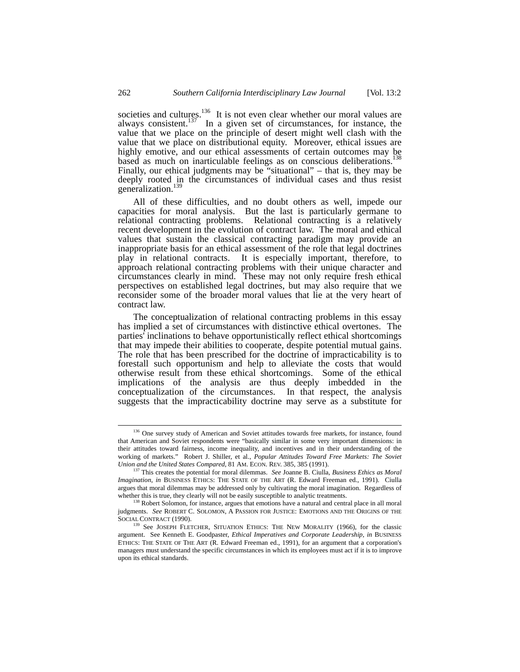societies and cultures.<sup>136</sup> It is not even clear whether our moral values are always consistent.<sup>137</sup> In a given set of circumstances, for instance, the value that we place on the principle of desert might well clash with the value that we place on distributional equity. Moreover, ethical issues are highly emotive, and our ethical assessments of certain outcomes may be based as much on inarticulable feelings as on conscious deliberations. [138](#page-35-2) Finally, our ethical judgments may be "situational" – that is, they may be Finally, our ethical judgments may be "situational" – that is, they may be deeply rooted in the circumstances of individual cases and thus resist generalization.<sup>1</sup>

All of these difficulties, and no doubt others as well, impede our capacities for moral analysis. But the last is particularly germane to relational contracting problems. Relational contracting is a relatively recent development in the evolution of contract law. The moral and ethical values that sustain the classical contracting paradigm may provide an inappropriate basis for an ethical assessment of the role that legal doctrines play in relational contracts. It is especially important, therefore, to approach relational contracting problems with their unique character and circumstances clearly in mind. These may not only require fresh ethical perspectives on established legal doctrines, but may also require that we reconsider some of the broader moral values that lie at the very heart of contract law.

The conceptualization of relational contracting problems in this essay has implied a set of circumstances with distinctive ethical overtones. The parties' inclinations to behave opportunistically reflect ethical shortcomings that may impede their abilities to cooperate, despite potential mutual gains. The role that has been prescribed for the doctrine of impracticability is to forestall such opportunism and help to alleviate the costs that would otherwise result from these ethical shortcomings. Some of the ethical implications of the analysis are thus deeply imbedded in the conceptualization of the circumstances. In that respect, the analysis suggests that the impracticability doctrine may serve as a substitute for

<span id="page-35-0"></span><sup>&</sup>lt;sup>136</sup> One survey study of American and Soviet attitudes towards free markets, for instance, found that American and Soviet respondents were "basically similar in some very important dimensions: in their attitudes toward fairness, income inequality, and incentives and in their understanding of the working of markets." Robert J. Shiller, et al., *Popular Attitudes Toward Free Markets: The Soviet Union and the United States Compared*, 81 AM. ECON. REV. 385, 385 (1991).

<span id="page-35-1"></span><sup>137</sup> This creates the potential for moral dilemmas. *See* Joanne B. Ciulla, *Business Ethics as Moral Imagination*, *in* BUSINESS ETHICS: THE STATE OF THE ART (R. Edward Freeman ed., 1991). Ciulla argues that moral dilemmas may be addressed only by cultivating the moral imagination. Regardless of whether this is true, they clearly will not be easily susceptible to analytic treatments.

<span id="page-35-2"></span><sup>&</sup>lt;sup>138</sup> Robert Solomon, for instance, argues that emotions have a natural and central place in all moral judgments. *See* ROBERT C. SOLOMON, A PASSION FOR JUSTICE: EMOTIONS AND THE ORIGINS OF THE SOCIAL CONTRACT (1990).

<span id="page-35-3"></span><sup>&</sup>lt;sup>139</sup> See JOSEPH FLETCHER, SITUATION ETHICS: THE NEW MORALITY (1966), for the classic argument. See Kenneth E. Goodpaster, *Ethical Imperatives and Corporate Leadership*, *in* BUSINESS ETHICS: THE STATE OF THE ART (R. Edward Freeman ed., 1991), for an argument that a corporation's managers must understand the specific circumstances in which its employees must act if it is to improve upon its ethical standards.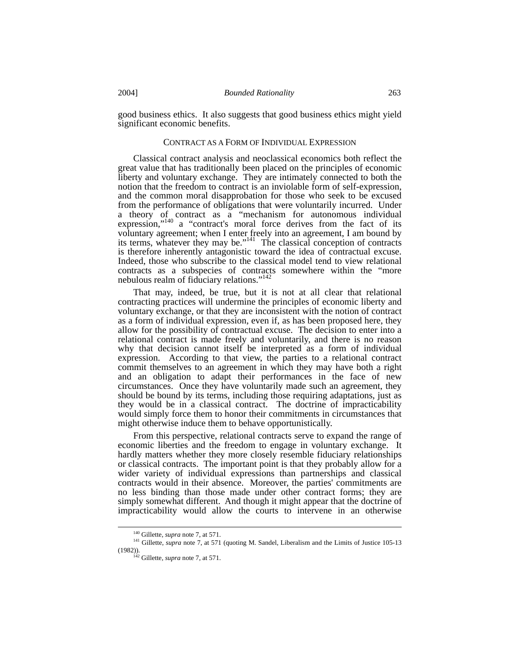good business ethics. It also suggests that good business ethics might yield significant economic benefits.

#### CONTRACT AS A FORM OF INDIVIDUAL EXPRESSION

Classical contract analysis and neoclassical economics both reflect the great value that has traditionally been placed on the principles of economic liberty and voluntary exchange. They are intimately connected to both the notion that the freedom to contract is an inviolable form of self-expression, and the common moral disapprobation for those who seek to be excused from the performance of obligations that were voluntarily incurred. Under a theory of contract as a "mechanism for autonomous individual expression,"<sup>140</sup> a "contract's moral force derives from the fact of its voluntary agreement; when I enter freely into an agreement, I am bound by its terms, whatever they may be."<sup>141</sup> The classical conception of contracts is therefore inherently antagonistic toward the idea of contractual excuse. Indeed, those who subscribe to the classical model tend to view relational contracts as a subspecies of contracts somewhere within the "more nebulous realm of fiduciary relations."<sup>142</sup>

That may, indeed, be true, but it is not at all clear that relational contracting practices will undermine the principles of economic liberty and voluntary exchange, or that they are inconsistent with the notion of contract as a form of individual expression, even if, as has been proposed here, they allow for the possibility of contractual excuse. The decision to enter into a relational contract is made freely and voluntarily, and there is no reason why that decision cannot itself be interpreted as a form of individual expression. According to that view, the parties to a relational contract commit themselves to an agreement in which they may have both a right and an obligation to adapt their performances in the face of new circumstances. Once they have voluntarily made such an agreement, they should be bound by its terms, including those requiring adaptations, just as they would be in a classical contract. The doctrine of impracticability would simply force them to honor their commitments in circumstances that might otherwise induce them to behave opportunistically.

From this perspective, relational contracts serve to expand the range of economic liberties and the freedom to engage in voluntary exchange. It hardly matters whether they more closely resemble fiduciary relationships or classical contracts. The important point is that they probably allow for a wider variety of individual expressions than partnerships and classical contracts would in their absence. Moreover, the parties' commitments are no less binding than those made under other contract forms; they are simply somewhat different. And though it might appear that the doctrine of impracticability would allow the courts to intervene in an otherwise

<span id="page-36-1"></span><span id="page-36-0"></span> <sup>140</sup> Gillette, *supra* note 7, at 571.

<sup>141</sup> Gillette, *supra* note 7, at 571 (quoting M. Sandel, Liberalism and the Limits of Justice 105-13 (1982)).

<span id="page-36-2"></span><sup>142</sup> Gillette, *supra* note 7, at 571.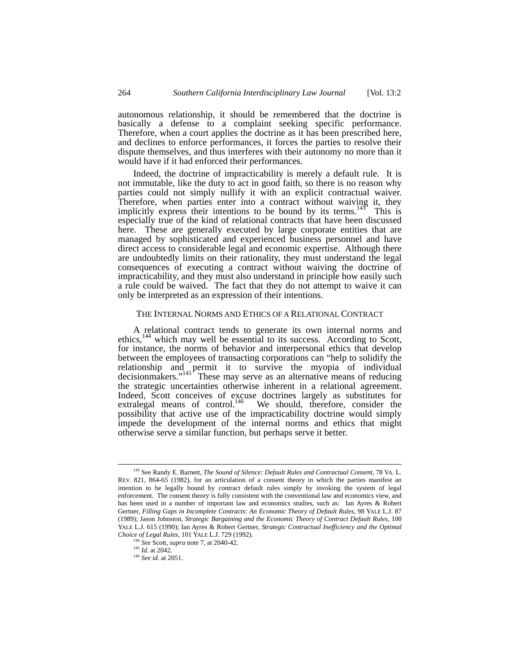autonomous relationship, it should be remembered that the doctrine is basically a defense to a complaint seeking specific performance. Therefore, when a court applies the doctrine as it has been prescribed here, and declines to enforce performances, it forces the parties to resolve their dispute themselves, and thus interferes with their autonomy no more than it would have if it had enforced their performances.

Indeed, the doctrine of impracticability is merely a default rule. It is not immutable, like the duty to act in good faith, so there is no reason why parties could not simply nullify it with an explicit contractual waiver. Therefore, when parties enter into a contract without waiving it, they implicitly express their intentions to be bound by its terms.<sup>145</sup> This is especially true of the kind of relational contracts that have been discussed here. These are generally executed by large corporate entities that are managed by sophisticated and experienced business personnel and have direct access to considerable legal and economic expertise. Although there are undoubtedly limits on their rationality, they must understand the legal consequences of executing a contract without waiving the doctrine of impracticability, and they must also understand in principle how easily such a rule could be waived. The fact that they do not attempt to waive it can only be interpreted as an expression of their intentions.

# THE INTERNAL NORMS AND ETHICS OF A RELATIONAL CONTRACT

A relational contract tends to generate its own internal norms and ethics,<sup>144</sup> which may well be essential to its success. According to Scott, for instance, the norms of behavior and interpersonal ethics that develop between the employees of transacting corporations can "help to solidify the relationship and permit it to survive the myopia of individual decisionmakers." $145$ <sup>r</sup> These may serve as an alternative means of reducing the strategic uncertainties otherwise inherent in a relational agreement. Indeed, Scott conceives of excuse doctrines largely as substitutes for extralegal means of control.<sup>146</sup> We should, therefore, consider the possibility that active use of the impracticability doctrine would simply impede the development of the internal norms and ethics that might otherwise serve a similar function, but perhaps serve it better.

<span id="page-37-0"></span><sup>&</sup>lt;sup>143</sup> See Randy E. Barnett, *The Sound of Silence: Default Rules and Contractual Consent*, 78 VA. L. REV. 821, 864-65 (1982), for an articulation of a consent theory in which the parties manifest an intention to be legally bound by contract default rules simply by invoking the system of legal enforcement. The consent theory is fully consistent with the conventional law and economics view, and has been used in a number of important law and economics studies, such as: Ian Ayres & Robert Gertner, *Filling Gaps in Incomplete Contracts: An Economic Theory of Default Rules*, 98 YALE L.J. 87 (1989); Jason Johnston, *Strategic Bargaining and the Economic Theory of Contract Default Rules*, 100 YALE L.J. 615 (1990); Ian Ayres & Robert Gertner, *Strategic Contractual Inefficiency and the Optimal Choice of Legal Rules*, 101 YALE L.J. 729 (1992).

<sup>144</sup> *See* Scott, *supra* note 7, at 2040-42.

<span id="page-37-2"></span><span id="page-37-1"></span><sup>145</sup> *Id*. at 2042.

<span id="page-37-3"></span><sup>146</sup> *See id*. at 2051.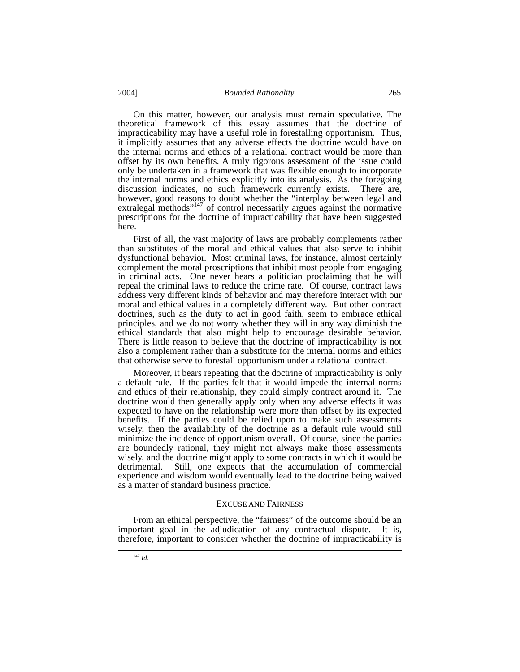## 2004] *Bounded Rationality* 265

On this matter, however, our analysis must remain speculative. The theoretical framework of this essay assumes that the doctrine of impracticability may have a useful role in forestalling opportunism. Thus, it implicitly assumes that any adverse effects the doctrine would have on the internal norms and ethics of a relational contract would be more than offset by its own benefits. A truly rigorous assessment of the issue could only be undertaken in a framework that was flexible enough to incorporate the internal norms and ethics explicitly into its analysis. As the foregoing discussion indicates, no such framework currently exists. There are, however, good reasons to doubt whether the "interplay between legal and extralegal methods"<sup>147</sup> of control necessarily argues against the normative prescriptions for the doctrine of impracticability that have been suggested here.

First of all, the vast majority of laws are probably complements rather than substitutes of the moral and ethical values that also serve to inhibit dysfunctional behavior. Most criminal laws, for instance, almost certainly complement the moral proscriptions that inhibit most people from engaging in criminal acts. One never hears a politician proclaiming that he will repeal the criminal laws to reduce the crime rate. Of course, contract laws address very different kinds of behavior and may therefore interact with our moral and ethical values in a completely different way. But other contract doctrines, such as the duty to act in good faith, seem to embrace ethical principles, and we do not worry whether they will in any way diminish the ethical standards that also might help to encourage desirable behavior. There is little reason to believe that the doctrine of impracticability is not also a complement rather than a substitute for the internal norms and ethics that otherwise serve to forestall opportunism under a relational contract.

Moreover, it bears repeating that the doctrine of impracticability is only a default rule. If the parties felt that it would impede the internal norms and ethics of their relationship, they could simply contract around it. The doctrine would then generally apply only when any adverse effects it was expected to have on the relationship were more than offset by its expected benefits. If the parties could be relied upon to make such assessments wisely, then the availability of the doctrine as a default rule would still minimize the incidence of opportunism overall. Of course, since the parties are boundedly rational, they might not always make those assessments wisely, and the doctrine might apply to some contracts in which it would be detrimental. Still, one expects that the accumulation of commercial experience and wisdom would eventually lead to the doctrine being waived as a matter of standard business practice.

# EXCUSE AND FAIRNESS

<span id="page-38-0"></span>From an ethical perspective, the "fairness" of the outcome should be an important goal in the adjudication of any contractual dispute. It is, therefore, important to consider whether the doctrine of impracticability is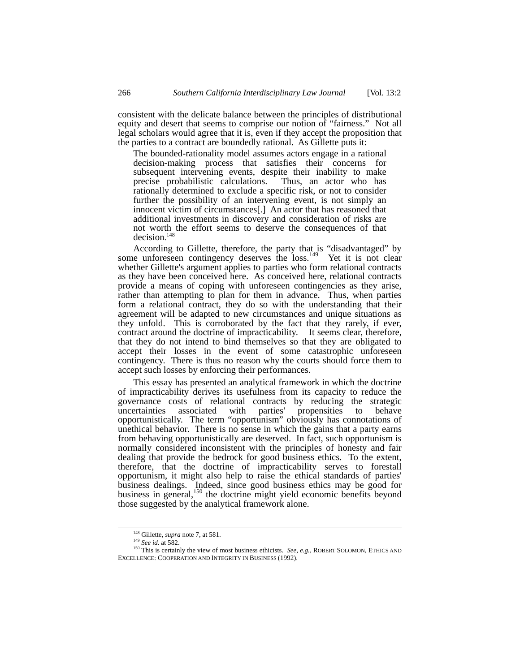consistent with the delicate balance between the principles of distributional equity and desert that seems to comprise our notion of "fairness." Not all legal scholars would agree that it is, even if they accept the proposition that the parties to a contract are boundedly rational. As Gillette puts it:

The bounded-rationality model assumes actors engage in a rational decision-making process that satisfies their concerns for subsequent intervening events, despite their inability to make<br>precise probabilistic calculations. Thus, an actor who has precise probabilistic calculations. rationally determined to exclude a specific risk, or not to consider further the possibility of an intervening event, is not simply an innocent victim of circumstances[.] An actor that has reasoned that additional investments in discovery and consideration of risks are not worth the effort seems to deserve the consequences of that decision. [148](#page-39-0)

According to Gillette, therefore, the party that is "disadvantaged" by some unforeseen contingency deserves the loss.<sup>149</sup> Yet it is not clear whether Gillette's argument applies to parties who form relational contracts as they have been conceived here. As conceived here, relational contracts provide a means of coping with unforeseen contingencies as they arise, rather than attempting to plan for them in advance. Thus, when parties form a relational contract, they do so with the understanding that their agreement will be adapted to new circumstances and unique situations as they unfold. This is corroborated by the fact that they rarely, if ever, contract around the doctrine of impracticability. It seems clear, therefore, that they do not intend to bind themselves so that they are obligated to accept their losses in the event of some catastrophic unforeseen contingency. There is thus no reason why the courts should force them to accept such losses by enforcing their performances.

This essay has presented an analytical framework in which the doctrine of impracticability derives its usefulness from its capacity to reduce the governance costs of relational contracts by reducing the strategic with parties' propensities to behave opportunistically. The term "opportunism" obviously has connotations of unethical behavior. There is no sense in which the gains that a party earns from behaving opportunistically are deserved. In fact, such opportunism is normally considered inconsistent with the principles of honesty and fair dealing that provide the bedrock for good business ethics. To the extent, therefore, that the doctrine of impracticability serves to forestall opportunism, it might also help to raise the ethical standards of parties' business dealings. Indeed, since good business ethics may be good for business in general,<sup>150</sup> the doctrine might yield economic benefits beyond those suggested by the analytical framework alone.

<span id="page-39-0"></span> <sup>148</sup> Gillette, *supra* note 7, at 581.

<span id="page-39-2"></span><span id="page-39-1"></span><sup>149</sup> *See id*. at 582.

<sup>150</sup> This is certainly the view of most business ethicists. *See*, *e.g.*, ROBERT SOLOMON, ETHICS AND EXCELLENCE: COOPERATION AND INTEGRITY IN BUSINESS (1992).